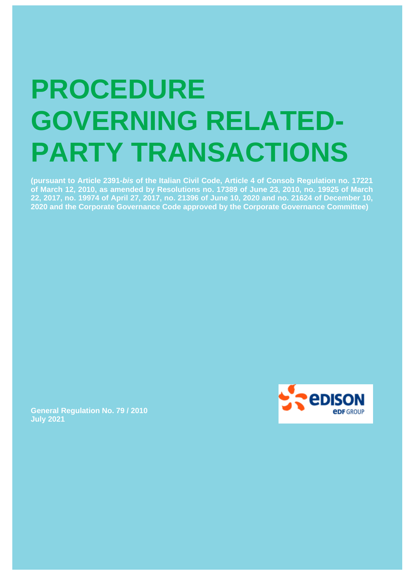# **PROCEDURE GOVERNING RELATED-PARTY TRANSACTIONS**

**(pursuant to Article 2391-***bis* **of the Italian Civil Code, Article 4 of Consob Regulation no. 17221 of March 12, 2010, as amended by Resolutions no. 17389 of June 23, 2010, no. 19925 of March 22, 2017, no. 19974 of April 27, 2017, no. 21396 of June 10, 2020 and no. 21624 of December 10, 2020 and the Corporate Governance Code approved by the Corporate Governance Committee)**



**General Regulation No. 79 / 2010 July 2021**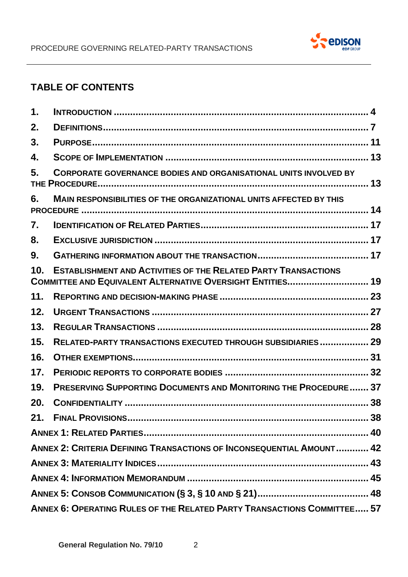

# **TABLE OF CONTENTS**

| 1.                                                                      |                                                                                                                                     |    |
|-------------------------------------------------------------------------|-------------------------------------------------------------------------------------------------------------------------------------|----|
| 2.                                                                      |                                                                                                                                     |    |
| 3.                                                                      |                                                                                                                                     |    |
| 4.                                                                      |                                                                                                                                     |    |
| 5.                                                                      | <b>CORPORATE GOVERNANCE BODIES AND ORGANISATIONAL UNITS INVOLVED BY</b>                                                             |    |
| 6.                                                                      | <b>MAIN RESPONSIBILITIES OF THE ORGANIZATIONAL UNITS AFFECTED BY THIS</b>                                                           |    |
| 7.                                                                      |                                                                                                                                     |    |
| 8.                                                                      |                                                                                                                                     |    |
| 9.                                                                      |                                                                                                                                     |    |
| 10.                                                                     | <b>ESTABLISHMENT AND ACTIVITIES OF THE RELATED PARTY TRANSACTIONS</b><br>COMMITTEE AND EQUIVALENT ALTERNATIVE OVERSIGHT ENTITIES 19 |    |
| 11.                                                                     |                                                                                                                                     |    |
| 12.                                                                     |                                                                                                                                     |    |
| 13.                                                                     |                                                                                                                                     |    |
| 15.                                                                     | RELATED-PARTY TRANSACTIONS EXECUTED THROUGH SUBSIDIARIES 29                                                                         |    |
| 16.                                                                     |                                                                                                                                     |    |
| 17.                                                                     |                                                                                                                                     |    |
| 19.                                                                     | PRESERVING SUPPORTING DOCUMENTS AND MONITORING THE PROCEDURE 37                                                                     |    |
| 20.                                                                     |                                                                                                                                     |    |
|                                                                         |                                                                                                                                     | 38 |
|                                                                         |                                                                                                                                     |    |
| ANNEX 2: CRITERIA DEFINING TRANSACTIONS OF INCONSEQUENTIAL AMOUNT 42    |                                                                                                                                     |    |
|                                                                         |                                                                                                                                     |    |
|                                                                         |                                                                                                                                     |    |
|                                                                         |                                                                                                                                     |    |
| ANNEX 6: OPERATING RULES OF THE RELATED PARTY TRANSACTIONS COMMITTEE 57 |                                                                                                                                     |    |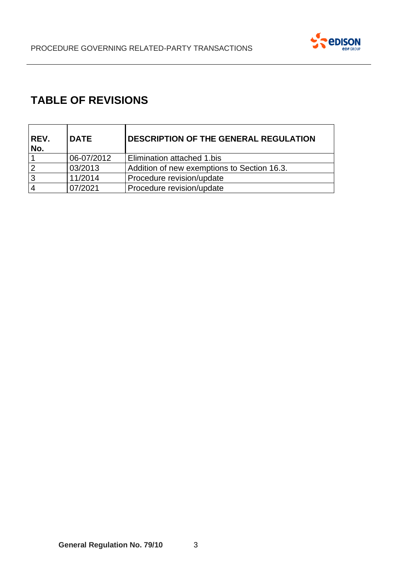

# **TABLE OF REVISIONS**

| REV.<br>No. | <b>DATE</b> | <b>DESCRIPTION OF THE GENERAL REGULATION</b> |
|-------------|-------------|----------------------------------------------|
|             | 06-07/2012  | Elimination attached 1.bis                   |
| 2           | 03/2013     | Addition of new exemptions to Section 16.3.  |
| 3           | 11/2014     | Procedure revision/update                    |
|             | 07/2021     | Procedure revision/update                    |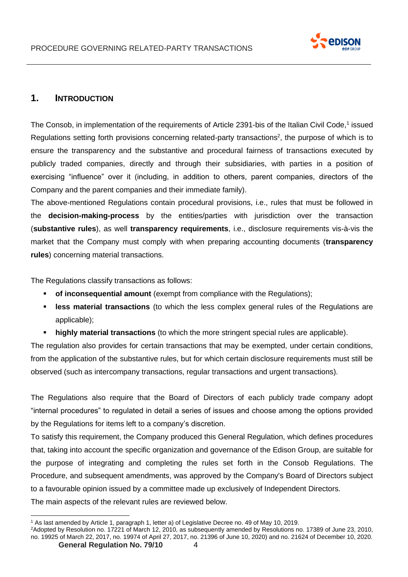

# <span id="page-3-0"></span>**1. INTRODUCTION**

The Consob, in implementation of the requirements of Article 2391-bis of the Italian Civil Code,<sup>1</sup> issued Regulations setting forth provisions concerning related-party transactions<sup>2</sup>, the purpose of which is to ensure the transparency and the substantive and procedural fairness of transactions executed by publicly traded companies, directly and through their subsidiaries, with parties in a position of exercising "influence" over it (including, in addition to others, parent companies, directors of the Company and the parent companies and their immediate family).

The above-mentioned Regulations contain procedural provisions, i.e., rules that must be followed in the **decision-making-process** by the entities/parties with jurisdiction over the transaction (**substantive rules**), as well **transparency requirements**, i.e., disclosure requirements vis-à-vis the market that the Company must comply with when preparing accounting documents (**transparency rules**) concerning material transactions.

The Regulations classify transactions as follows:

- **of inconsequential amount** (exempt from compliance with the Regulations);
- **Example 5 respects in a term in test in test in test in test in test in test in test in test in test in test in test in test in test in test in test in test in test in test in test in test in test in test in test in test** applicable);
- **highly material transactions** (to which the more stringent special rules are applicable).

The regulation also provides for certain transactions that may be exempted, under certain conditions, from the application of the substantive rules, but for which certain disclosure requirements must still be observed (such as intercompany transactions, regular transactions and urgent transactions).

The Regulations also require that the Board of Directors of each publicly trade company adopt "internal procedures" to regulated in detail a series of issues and choose among the options provided by the Regulations for items left to a company's discretion.

To satisfy this requirement, the Company produced this General Regulation, which defines procedures that, taking into account the specific organization and governance of the Edison Group, are suitable for the purpose of integrating and completing the rules set forth in the Consob Regulations. The Procedure, and subsequent amendments, was approved by the Company's Board of Directors subject to a favourable opinion issued by a committee made up exclusively of Independent Directors. The main aspects of the relevant rules are reviewed below.

<sup>1</sup> As last amended by Article 1, paragraph 1, letter a) of Legislative Decree no. 49 of May 10, 2019.

<sup>2</sup>Adopted by Resolution no. 17221 of March 12, 2010, as subsequently amended by Resolutions no. 17389 of June 23, 2010, no. 19925 of March 22, 2017, no. 19974 of April 27, 2017, no. 21396 of June 10, 2020) and no. 21624 of December 10, 2020.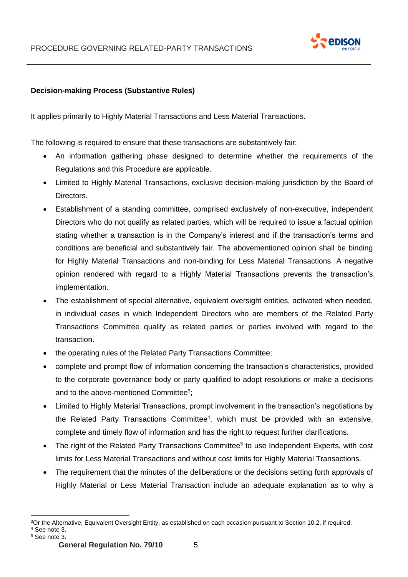

## **Decision-making Process (Substantive Rules)**

It applies primarily to Highly Material Transactions and Less Material Transactions.

The following is required to ensure that these transactions are substantively fair:

- An information gathering phase designed to determine whether the requirements of the Regulations and this Procedure are applicable.
- Limited to Highly Material Transactions, exclusive decision-making jurisdiction by the Board of Directors.
- Establishment of a standing committee, comprised exclusively of non-executive, independent Directors who do not qualify as related parties, which will be required to issue a factual opinion stating whether a transaction is in the Company's interest and if the transaction's terms and conditions are beneficial and substantively fair. The abovementioned opinion shall be binding for Highly Material Transactions and non-binding for Less Material Transactions. A negative opinion rendered with regard to a Highly Material Transactions prevents the transaction's implementation.
- The establishment of special alternative, equivalent oversight entities, activated when needed, in individual cases in which Independent Directors who are members of the Related Party Transactions Committee qualify as related parties or parties involved with regard to the transaction.
- the operating rules of the Related Party Transactions Committee;
- complete and prompt flow of information concerning the transaction's characteristics, provided to the corporate governance body or party qualified to adopt resolutions or make a decisions and to the above-mentioned Committee<sup>3</sup>;
- Limited to Highly Material Transactions, prompt involvement in the transaction's negotiations by the Related Party Transactions Committee<sup>4</sup>, which must be provided with an extensive, complete and timely flow of information and has the right to request further clarifications.
- The right of the Related Party Transactions Committee<sup>5</sup> to use Independent Experts, with cost limits for Less Material Transactions and without cost limits for Highly Material Transactions.
- The requirement that the minutes of the deliberations or the decisions setting forth approvals of Highly Material or Less Material Transaction include an adequate explanation as to why a

<sup>3</sup>Or the Alternative, Equivalent Oversight Entity, as established on each occasion pursuant to Section 10.2, if required. <sup>4</sup> See note 3.

<sup>5</sup> See note 3.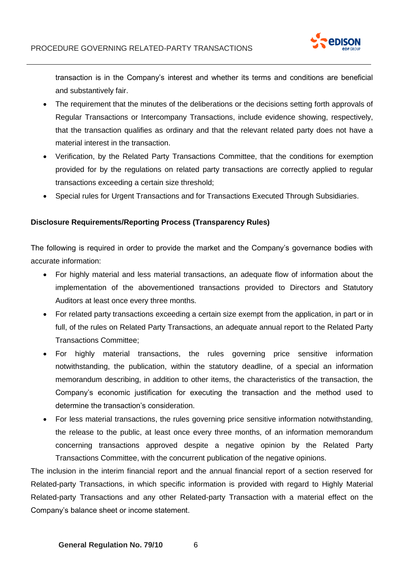

transaction is in the Company's interest and whether its terms and conditions are beneficial and substantively fair.

- The requirement that the minutes of the deliberations or the decisions setting forth approvals of Regular Transactions or Intercompany Transactions, include evidence showing, respectively, that the transaction qualifies as ordinary and that the relevant related party does not have a material interest in the transaction.
- Verification, by the Related Party Transactions Committee, that the conditions for exemption provided for by the regulations on related party transactions are correctly applied to regular transactions exceeding a certain size threshold;
- Special rules for Urgent Transactions and for Transactions Executed Through Subsidiaries.

#### **Disclosure Requirements/Reporting Process (Transparency Rules)**

The following is required in order to provide the market and the Company's governance bodies with accurate information:

- For highly material and less material transactions, an adequate flow of information about the implementation of the abovementioned transactions provided to Directors and Statutory Auditors at least once every three months.
- For related party transactions exceeding a certain size exempt from the application, in part or in full, of the rules on Related Party Transactions, an adequate annual report to the Related Party Transactions Committee;
- For highly material transactions, the rules governing price sensitive information notwithstanding, the publication, within the statutory deadline, of a special an information memorandum describing, in addition to other items, the characteristics of the transaction, the Company's economic justification for executing the transaction and the method used to determine the transaction's consideration.
- For less material transactions, the rules governing price sensitive information notwithstanding, the release to the public, at least once every three months, of an information memorandum concerning transactions approved despite a negative opinion by the Related Party Transactions Committee, with the concurrent publication of the negative opinions.

The inclusion in the interim financial report and the annual financial report of a section reserved for Related-party Transactions, in which specific information is provided with regard to Highly Material Related-party Transactions and any other Related-party Transaction with a material effect on the Company's balance sheet or income statement.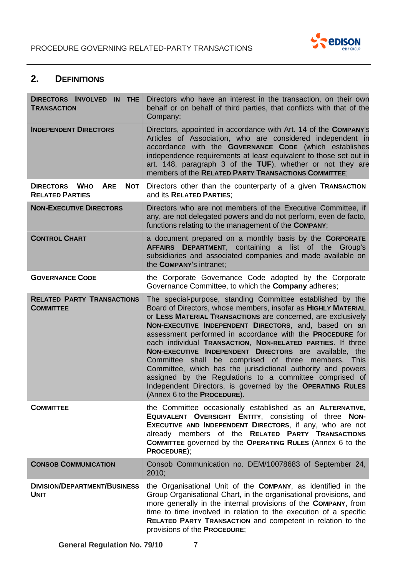

# <span id="page-6-0"></span>**2. DEFINITIONS**

| DIRECTORS INVOLVED IN THE<br><b>TRANSACTION</b>              | Directors who have an interest in the transaction, on their own<br>behalf or on behalf of third parties, that conflicts with that of the<br>Company;                                                                                                                                                                                                                                                                                                                                                                                                                                                                                                                                                                       |
|--------------------------------------------------------------|----------------------------------------------------------------------------------------------------------------------------------------------------------------------------------------------------------------------------------------------------------------------------------------------------------------------------------------------------------------------------------------------------------------------------------------------------------------------------------------------------------------------------------------------------------------------------------------------------------------------------------------------------------------------------------------------------------------------------|
| <b>INDEPENDENT DIRECTORS</b>                                 | Directors, appointed in accordance with Art. 14 of the COMPANY's<br>Articles of Association, who are considered independent in<br>accordance with the GOVERNANCE CODE (which establishes<br>independence requirements at least equivalent to those set out in<br>art. 148, paragraph 3 of the TUF), whether or not they are<br>members of the RELATED PARTY TRANSACTIONS COMMITTEE;                                                                                                                                                                                                                                                                                                                                        |
| DIRECTORS WHO<br><b>ARE</b><br>NOT<br><b>RELATED PARTIES</b> | Directors other than the counterparty of a given TRANSACTION<br>and its RELATED PARTIES:                                                                                                                                                                                                                                                                                                                                                                                                                                                                                                                                                                                                                                   |
| <b>NON-EXECUTIVE DIRECTORS</b>                               | Directors who are not members of the Executive Committee, if<br>any, are not delegated powers and do not perform, even de facto,<br>functions relating to the management of the COMPANY;                                                                                                                                                                                                                                                                                                                                                                                                                                                                                                                                   |
| <b>CONTROL CHART</b>                                         | a document prepared on a monthly basis by the CORPORATE<br>AFFAIRS DEPARTMENT, containing a list of the Group's<br>subsidiaries and associated companies and made available on<br>the COMPANY's intranet;                                                                                                                                                                                                                                                                                                                                                                                                                                                                                                                  |
| <b>GOVERNANCE CODE</b>                                       | the Corporate Governance Code adopted by the Corporate<br>Governance Committee, to which the <b>Company</b> adheres;                                                                                                                                                                                                                                                                                                                                                                                                                                                                                                                                                                                                       |
| <b>RELATED PARTY TRANSACTIONS</b><br><b>COMMITTEE</b>        | The special-purpose, standing Committee established by the<br>Board of Directors, whose members, insofar as HIGHLY MATERIAL<br>or LESS MATERIAL TRANSACTIONS are concerned, are exclusively<br>NON-EXECUTIVE INDEPENDENT DIRECTORS, and, based on an<br>assessment performed in accordance with the PROCEDURE for<br>each individual TRANSACTION, NON-RELATED PARTIES. If three<br>NON-EXECUTIVE INDEPENDENT DIRECTORS are available, the<br>shall be comprised of three members. This<br>Committee<br>Committee, which has the jurisdictional authority and powers<br>assigned by the Regulations to a committee comprised of<br>Independent Directors, is governed by the OPERATING RULES<br>(Annex 6 to the PROCEDURE). |
| <b>COMMITTEE</b>                                             | the Committee occasionally established as an ALTERNATIVE,<br>EQUIVALENT OVERSIGHT ENTITY, consisting of three NON-<br>EXECUTIVE AND INDEPENDENT DIRECTORS, if any, who are not<br>already members of the RELATED PARTY TRANSACTIONS<br><b>COMMITTEE governed by the OPERATING RULES (Annex 6 to the</b><br>PROCEDURE);                                                                                                                                                                                                                                                                                                                                                                                                     |
| <b>CONSOB COMMUNICATION</b>                                  | Consob Communication no. DEM/10078683 of September 24,<br>2010;                                                                                                                                                                                                                                                                                                                                                                                                                                                                                                                                                                                                                                                            |
| <b>DIVISION/DEPARTMENT/BUSINESS</b><br><b>UNIT</b>           | the Organisational Unit of the COMPANY, as identified in the<br>Group Organisational Chart, in the organisational provisions, and<br>more generally in the internal provisions of the COMPANY, from<br>time to time involved in relation to the execution of a specific<br>RELATED PARTY TRANSACTION and competent in relation to the<br>provisions of the PROCEDURE;                                                                                                                                                                                                                                                                                                                                                      |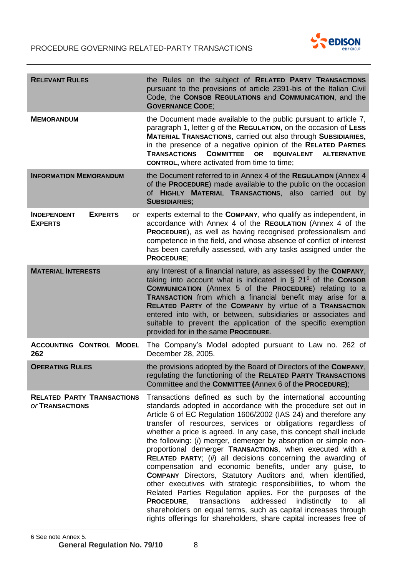

| <b>RELEVANT RULES</b>                                        | the Rules on the subject of RELATED PARTY TRANSACTIONS<br>pursuant to the provisions of article 2391-bis of the Italian Civil<br>Code, the CONSOB REGULATIONS and COMMUNICATION, and the<br><b>GOVERNANCE CODE:</b>                                                                                                                                                                                                                                                                                                                                                                                                                                                                                                                                                                                                                                                                                                                                                                                                         |
|--------------------------------------------------------------|-----------------------------------------------------------------------------------------------------------------------------------------------------------------------------------------------------------------------------------------------------------------------------------------------------------------------------------------------------------------------------------------------------------------------------------------------------------------------------------------------------------------------------------------------------------------------------------------------------------------------------------------------------------------------------------------------------------------------------------------------------------------------------------------------------------------------------------------------------------------------------------------------------------------------------------------------------------------------------------------------------------------------------|
| <b>MEMORANDUM</b>                                            | the Document made available to the public pursuant to article 7,<br>paragraph 1, letter g of the REGULATION, on the occasion of LESS<br>MATERIAL TRANSACTIONS, carried out also through SUBSIDIARIES,<br>in the presence of a negative opinion of the RELATED PARTIES<br><b>COMMITTEE</b><br><b>TRANSACTIONS</b><br><b>OR</b><br><b>EQUIVALENT</b><br><b>ALTERNATIVE</b><br><b>CONTROL, where activated from time to time;</b>                                                                                                                                                                                                                                                                                                                                                                                                                                                                                                                                                                                              |
| <b>INFORMATION MEMORANDUM</b>                                | the Document referred to in Annex 4 of the REGULATION (Annex 4<br>of the PROCEDURE) made available to the public on the occasion<br>of HIGHLY MATERIAL TRANSACTIONS, also carried out by<br><b>SUBSIDIARIES;</b>                                                                                                                                                                                                                                                                                                                                                                                                                                                                                                                                                                                                                                                                                                                                                                                                            |
| <b>EXPERTS</b><br><b>INDEPENDENT</b><br>or<br><b>EXPERTS</b> | experts external to the <b>COMPANY</b> , who qualify as independent, in<br>accordance with Annex 4 of the REGULATION (Annex 4 of the<br>PROCEDURE), as well as having recognised professionalism and<br>competence in the field, and whose absence of conflict of interest<br>has been carefully assessed, with any tasks assigned under the<br><b>PROCEDURE;</b>                                                                                                                                                                                                                                                                                                                                                                                                                                                                                                                                                                                                                                                           |
| <b>MATERIAL INTERESTS</b>                                    | any Interest of a financial nature, as assessed by the COMPANY,<br>taking into account what is indicated in $\S 21^6$ of the CONSOB<br>COMMUNICATION (Annex 5 of the PROCEDURE) relating to a<br>TRANSACTION from which a financial benefit may arise for a<br>RELATED PARTY of the COMPANY by virtue of a TRANSACTION<br>entered into with, or between, subsidiaries or associates and<br>suitable to prevent the application of the specific exemption<br>provided for in the same PROCEDURE.                                                                                                                                                                                                                                                                                                                                                                                                                                                                                                                             |
| <b>ACCOUNTING CONTROL MODEL</b><br>262                       | The Company's Model adopted pursuant to Law no. 262 of<br>December 28, 2005.                                                                                                                                                                                                                                                                                                                                                                                                                                                                                                                                                                                                                                                                                                                                                                                                                                                                                                                                                |
| <b>OPERATING RULES</b>                                       | the provisions adopted by the Board of Directors of the COMPANY,<br>regulating the functioning of the RELATED PARTY TRANSACTIONS<br>Committee and the COMMITTEE (Annex 6 of the PROCEDURE);                                                                                                                                                                                                                                                                                                                                                                                                                                                                                                                                                                                                                                                                                                                                                                                                                                 |
| <b>RELATED PARTY TRANSACTIONS</b><br><b>OF TRANSACTIONS</b>  | Transactions defined as such by the international accounting<br>standards adopted in accordance with the procedure set out in<br>Article 6 of EC Regulation 1606/2002 (IAS 24) and therefore any<br>transfer of resources, services or obligations regardless of<br>whether a price is agreed. In any case, this concept shall include<br>the following: (i) merger, demerger by absorption or simple non-<br>proportional demerger TRANSACTIONS, when executed with a<br>RELATED PARTY; (ii) all decisions concerning the awarding of<br>compensation and economic benefits, under any guise, to<br><b>COMPANY</b> Directors, Statutory Auditors and, when identified,<br>other executives with strategic responsibilities, to whom the<br>Related Parties Regulation applies. For the purposes of the<br><b>PROCEDURE, transactions</b><br>addressed<br>indistinctly<br>to<br>all<br>shareholders on equal terms, such as capital increases through<br>rights offerings for shareholders, share capital increases free of |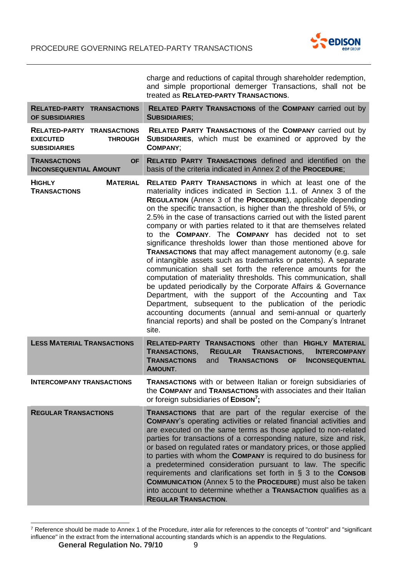

|                                                                                               | charge and reductions of capital through shareholder redemption,<br>and simple proportional demerger Transactions, shall not be<br>treated as RELATED-PARTY TRANSACTIONS.                                                                                                                                                                                                                                                                                                                                                                                                                                                                                                                                                                                                                                                                                                                                                                                                                                                                                                                                                                                              |
|-----------------------------------------------------------------------------------------------|------------------------------------------------------------------------------------------------------------------------------------------------------------------------------------------------------------------------------------------------------------------------------------------------------------------------------------------------------------------------------------------------------------------------------------------------------------------------------------------------------------------------------------------------------------------------------------------------------------------------------------------------------------------------------------------------------------------------------------------------------------------------------------------------------------------------------------------------------------------------------------------------------------------------------------------------------------------------------------------------------------------------------------------------------------------------------------------------------------------------------------------------------------------------|
| <b>RELATED-PARTY TRANSACTIONS</b><br>OF SUBSIDIARIES                                          | RELATED PARTY TRANSACTIONS of the COMPANY carried out by<br><b>SUBSIDIARIES;</b>                                                                                                                                                                                                                                                                                                                                                                                                                                                                                                                                                                                                                                                                                                                                                                                                                                                                                                                                                                                                                                                                                       |
| <b>RELATED-PARTY TRANSACTIONS</b><br><b>EXECUTED</b><br><b>THROUGH</b><br><b>SUBSIDIARIES</b> | <b>RELATED PARTY TRANSACTIONS of the COMPANY carried out by</b><br>SUBSIDIARIES, which must be examined or approved by the<br><b>COMPANY:</b>                                                                                                                                                                                                                                                                                                                                                                                                                                                                                                                                                                                                                                                                                                                                                                                                                                                                                                                                                                                                                          |
| <b>TRANSACTIONS</b><br><b>OF</b><br><b>INCONSEQUENTIAL AMOUNT</b>                             | <b>RELATED PARTY TRANSACTIONS defined and identified on the</b><br>basis of the criteria indicated in Annex 2 of the PROCEDURE;                                                                                                                                                                                                                                                                                                                                                                                                                                                                                                                                                                                                                                                                                                                                                                                                                                                                                                                                                                                                                                        |
| <b>HIGHLY</b><br><b>MATERIAL</b><br><b>TRANSACTIONS</b>                                       | <b>RELATED PARTY TRANSACTIONS</b> in which at least one of the<br>materiality indices indicated in Section 1.1. of Annex 3 of the<br><b>REGULATION</b> (Annex 3 of the <b>PROCEDURE</b> ), applicable depending<br>on the specific transaction, is higher than the threshold of 5%, or<br>2.5% in the case of transactions carried out with the listed parent<br>company or with parties related to it that are themselves related<br>to the COMPANY. The COMPANY has decided not to set<br>significance thresholds lower than those mentioned above for<br><b>TRANSACTIONS</b> that may affect management autonomy (e.g. sale<br>of intangible assets such as trademarks or patents). A separate<br>communication shall set forth the reference amounts for the<br>computation of materiality thresholds. This communication, shall<br>be updated periodically by the Corporate Affairs & Governance<br>Department, with the support of the Accounting and Tax<br>Department, subsequent to the publication of the periodic<br>accounting documents (annual and semi-annual or quarterly<br>financial reports) and shall be posted on the Company's Intranet<br>site. |
| <b>LESS MATERIAL TRANSACTIONS</b>                                                             | RELATED-PARTY TRANSACTIONS other than HIGHLY MATERIAL<br><b>TRANSACTIONS.</b><br><b>REGULAR</b><br><b>TRANSACTIONS,</b><br><b>INTERCOMPANY</b><br><b>TRANSACTIONS</b><br>and<br><b>TRANSACTIONS</b><br><b>OF</b><br><b>INCONSEQUENTIAL</b><br><b>AMOUNT.</b>                                                                                                                                                                                                                                                                                                                                                                                                                                                                                                                                                                                                                                                                                                                                                                                                                                                                                                           |
| <b>INTERCOMPANY TRANSACTIONS</b>                                                              | TRANSACTIONS with or between Italian or foreign subsidiaries of<br>the COMPANY and TRANSACTIONS with associates and their Italian<br>or foreign subsidiaries of EDISON <sup>7</sup> ;                                                                                                                                                                                                                                                                                                                                                                                                                                                                                                                                                                                                                                                                                                                                                                                                                                                                                                                                                                                  |
| <b>REGULAR TRANSACTIONS</b>                                                                   | TRANSACTIONS that are part of the regular exercise of the<br><b>COMPANY's operating activities or related financial activities and</b><br>are executed on the same terms as those applied to non-related<br>parties for transactions of a corresponding nature, size and risk,<br>or based on regulated rates or mandatory prices, or those applied<br>to parties with whom the COMPANY is required to do business for<br>a predetermined consideration pursuant to law. The specific<br>requirements and clarifications set forth in $\S$ 3 to the CONSOB<br><b>COMMUNICATION</b> (Annex 5 to the <b>PROCEDURE</b> ) must also be taken<br>into account to determine whether a TRANSACTION qualifies as a<br><b>REGULAR TRANSACTION.</b>                                                                                                                                                                                                                                                                                                                                                                                                                              |

<sup>7</sup> Reference should be made to Annex 1 of the Procedure, *inter alia* for references to the concepts of "control" and "significant influence" in the extract from the international accounting standards which is an appendix to the Regulations.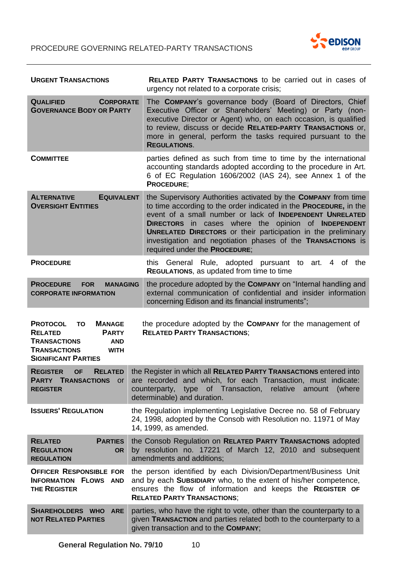

| <b>URGENT TRANSACTIONS</b>                                                                                                                                                                                                                                                                   | <b>RELATED PARTY TRANSACTIONS to be carried out in cases of</b><br>urgency not related to a corporate crisis;                                                                                                                                                                                                                                                                                                                          |  |
|----------------------------------------------------------------------------------------------------------------------------------------------------------------------------------------------------------------------------------------------------------------------------------------------|----------------------------------------------------------------------------------------------------------------------------------------------------------------------------------------------------------------------------------------------------------------------------------------------------------------------------------------------------------------------------------------------------------------------------------------|--|
| <b>QUALIFIED</b><br><b>CORPORATE</b><br><b>GOVERNANCE BODY OR PARTY</b>                                                                                                                                                                                                                      | The COMPANY's governance body (Board of Directors, Chief<br>Executive Officer or Shareholders' Meeting) or Party (non-<br>executive Director or Agent) who, on each occasion, is qualified<br>to review, discuss or decide RELATED-PARTY TRANSACTIONS or,<br>more in general, perform the tasks required pursuant to the<br><b>REGULATIONS.</b>                                                                                        |  |
| <b>COMMITTEE</b>                                                                                                                                                                                                                                                                             | parties defined as such from time to time by the international<br>accounting standards adopted according to the procedure in Art.<br>6 of EC Regulation 1606/2002 (IAS 24), see Annex 1 of the<br><b>PROCEDURE:</b>                                                                                                                                                                                                                    |  |
| <b>EQUIVALENT</b><br><b>ALTERNATIVE</b><br><b>OVERSIGHT ENTITIES</b>                                                                                                                                                                                                                         | the Supervisory Authorities activated by the COMPANY from time<br>to time according to the order indicated in the <b>PROCEDURE</b> , in the<br>event of a small number or lack of INDEPENDENT UNRELATED<br>DIRECTORS in cases where the opinion of INDEPENDENT<br><b>UNRELATED DIRECTORS</b> or their participation in the preliminary<br>investigation and negotiation phases of the TRANSACTIONS is<br>required under the PROCEDURE; |  |
| <b>PROCEDURE</b>                                                                                                                                                                                                                                                                             | this General Rule, adopted pursuant to art.<br>4 of the<br><b>REGULATIONS, as updated from time to time</b>                                                                                                                                                                                                                                                                                                                            |  |
| <b>PROCEDURE</b><br><b>MANAGING</b><br><b>FOR</b><br><b>CORPORATE INFORMATION</b>                                                                                                                                                                                                            | the procedure adopted by the COMPANY on "Internal handling and<br>external communication of confidential and insider information<br>concerning Edison and its financial instruments";                                                                                                                                                                                                                                                  |  |
| the procedure adopted by the COMPANY for the management of<br><b>PROTOCOL</b><br><b>MANAGE</b><br><b>TO</b><br><b>RELATED PARTY TRANSACTIONS;</b><br><b>RELATED</b><br><b>PARTY</b><br><b>TRANSACTIONS</b><br><b>AND</b><br><b>TRANSACTIONS</b><br><b>WITH</b><br><b>SIGNIFICANT PARTIES</b> |                                                                                                                                                                                                                                                                                                                                                                                                                                        |  |
| <b>REGISTER</b><br><b>RELATED</b><br><b>OF</b><br><b>PARTY TRANSACTIONS</b><br>or<br><b>REGISTER</b>                                                                                                                                                                                         | the Register in which all RELATED PARTY TRANSACTIONS entered into<br>are recorded and which, for each Transaction, must indicate:<br>counterparty, type of Transaction,<br>relative<br>(where<br>amount<br>determinable) and duration.                                                                                                                                                                                                 |  |
| <b>ISSUERS' REGULATION</b>                                                                                                                                                                                                                                                                   | the Regulation implementing Legislative Decree no. 58 of February<br>24, 1998, adopted by the Consob with Resolution no. 11971 of May<br>14, 1999, as amended.                                                                                                                                                                                                                                                                         |  |
| <b>RELATED</b><br><b>PARTIES</b><br><b>REGULATION</b><br><b>OR</b><br><b>REGULATION</b>                                                                                                                                                                                                      | the Consob Regulation on RELATED PARTY TRANSACTIONS adopted<br>by resolution no. 17221 of March 12, 2010 and subsequent<br>amendments and additions;                                                                                                                                                                                                                                                                                   |  |
| <b>OFFICER RESPONSIBLE FOR</b><br><b>INFORMATION FLOWS AND</b><br><b>THE REGISTER</b>                                                                                                                                                                                                        | the person identified by each Division/Department/Business Unit<br>and by each SUBSIDIARY who, to the extent of his/her competence,<br>ensures the flow of information and keeps the REGISTER OF<br><b>RELATED PARTY TRANSACTIONS;</b>                                                                                                                                                                                                 |  |
| SHAREHOLDERS WHO ARE<br><b>NOT RELATED PARTIES</b>                                                                                                                                                                                                                                           | parties, who have the right to vote, other than the counterparty to a<br>given TRANSACTION and parties related both to the counterparty to a<br>given transaction and to the COMPANY;                                                                                                                                                                                                                                                  |  |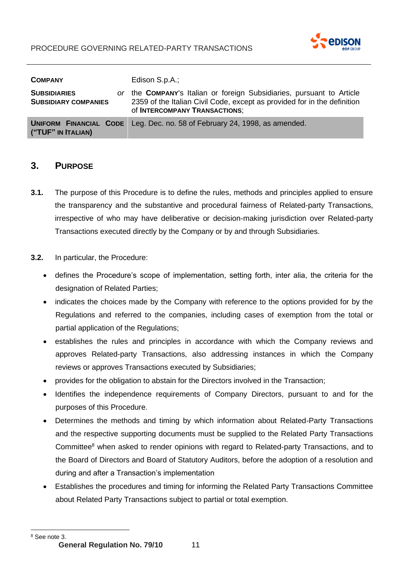

| <b>COMPANY</b>                                             | Edison S.p.A.;                                                                                                                                                                  |
|------------------------------------------------------------|---------------------------------------------------------------------------------------------------------------------------------------------------------------------------------|
| <b>SUBSIDIARIES</b><br>or -<br><b>SUBSIDIARY COMPANIES</b> | the COMPANY's Italian or foreign Subsidiaries, pursuant to Article<br>2359 of the Italian Civil Code, except as provided for in the definition<br>of INTERCOMPANY TRANSACTIONS; |
| ("TUF" IN ITALIAN)                                         | <b>UNIFORM FINANCIAL CODE</b> Leg. Dec. no. 58 of February 24, 1998, as amended.                                                                                                |

# <span id="page-10-0"></span>**3. PURPOSE**

- **3.1.** The purpose of this Procedure is to define the rules, methods and principles applied to ensure the transparency and the substantive and procedural fairness of Related-party Transactions, irrespective of who may have deliberative or decision-making jurisdiction over Related-party Transactions executed directly by the Company or by and through Subsidiaries.
- **3.2.** In particular, the Procedure:
	- defines the Procedure's scope of implementation, setting forth, inter alia, the criteria for the designation of Related Parties;
	- indicates the choices made by the Company with reference to the options provided for by the Regulations and referred to the companies, including cases of exemption from the total or partial application of the Regulations;
	- establishes the rules and principles in accordance with which the Company reviews and approves Related-party Transactions, also addressing instances in which the Company reviews or approves Transactions executed by Subsidiaries;
	- provides for the obligation to abstain for the Directors involved in the Transaction;
	- Identifies the independence requirements of Company Directors, pursuant to and for the purposes of this Procedure.
	- Determines the methods and timing by which information about Related-Party Transactions and the respective supporting documents must be supplied to the Related Party Transactions Committee<sup>8</sup> when asked to render opinions with regard to Related-party Transactions, and to the Board of Directors and Board of Statutory Auditors, before the adoption of a resolution and during and after a Transaction's implementation
	- Establishes the procedures and timing for informing the Related Party Transactions Committee about Related Party Transactions subject to partial or total exemption.

<sup>8</sup> See note 3.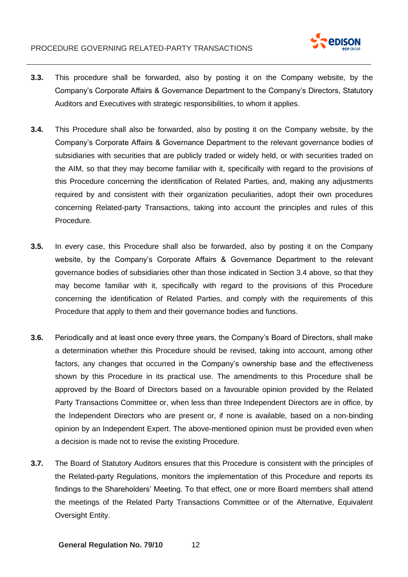

- **3.3.** This procedure shall be forwarded, also by posting it on the Company website, by the Company's Corporate Affairs & Governance Department to the Company's Directors, Statutory Auditors and Executives with strategic responsibilities, to whom it applies.
- **3.4.** This Procedure shall also be forwarded, also by posting it on the Company website, by the Company's Corporate Affairs & Governance Department to the relevant governance bodies of subsidiaries with securities that are publicly traded or widely held, or with securities traded on the AIM, so that they may become familiar with it, specifically with regard to the provisions of this Procedure concerning the identification of Related Parties, and, making any adjustments required by and consistent with their organization peculiarities, adopt their own procedures concerning Related-party Transactions, taking into account the principles and rules of this Procedure.
- **3.5.** In every case, this Procedure shall also be forwarded, also by posting it on the Company website, by the Company's Corporate Affairs & Governance Department to the relevant governance bodies of subsidiaries other than those indicated in Section 3.4 above, so that they may become familiar with it, specifically with regard to the provisions of this Procedure concerning the identification of Related Parties, and comply with the requirements of this Procedure that apply to them and their governance bodies and functions.
- **3.6.** Periodically and at least once every three years, the Company's Board of Directors, shall make a determination whether this Procedure should be revised, taking into account, among other factors, any changes that occurred in the Company's ownership base and the effectiveness shown by this Procedure in its practical use. The amendments to this Procedure shall be approved by the Board of Directors based on a favourable opinion provided by the Related Party Transactions Committee or, when less than three Independent Directors are in office, by the Independent Directors who are present or, if none is available, based on a non-binding opinion by an Independent Expert. The above-mentioned opinion must be provided even when a decision is made not to revise the existing Procedure.
- **3.7.** The Board of Statutory Auditors ensures that this Procedure is consistent with the principles of the Related-party Regulations, monitors the implementation of this Procedure and reports its findings to the Shareholders' Meeting. To that effect, one or more Board members shall attend the meetings of the Related Party Transactions Committee or of the Alternative, Equivalent Oversight Entity.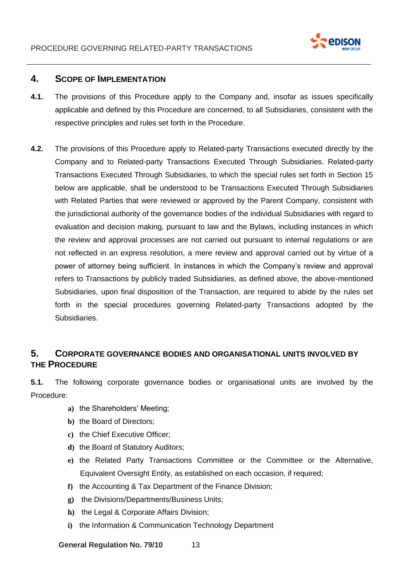

## <span id="page-12-0"></span>**4. SCOPE OF IMPLEMENTATION**

- **4.1.** The provisions of this Procedure apply to the Company and, insofar as issues specifically applicable and defined by this Procedure are concerned, to all Subsidiaries, consistent with the respective principles and rules set forth in the Procedure.
- **4.2.** The provisions of this Procedure apply to Related-party Transactions executed directly by the Company and to Related-party Transactions Executed Through Subsidiaries. Related-party Transactions Executed Through Subsidiaries, to which the special rules set forth in Section 15 below are applicable, shall be understood to be Transactions Executed Through Subsidiaries with Related Parties that were reviewed or approved by the Parent Company, consistent with the jurisdictional authority of the governance bodies of the individual Subsidiaries with regard to evaluation and decision making, pursuant to law and the Bylaws, including instances in which the review and approval processes are not carried out pursuant to internal regulations or are not reflected in an express resolution, a mere review and approval carried out by virtue of a power of attorney being sufficient. In instances in which the Company's review and approval refers to Transactions by publicly traded Subsidiaries, as defined above, the above-mentioned Subsidiaries, upon final disposition of the Transaction, are required to abide by the rules set forth in the special procedures governing Related-party Transactions adopted by the Subsidiaries.

# <span id="page-12-1"></span>**5. CORPORATE GOVERNANCE BODIES AND ORGANISATIONAL UNITS INVOLVED BY THE PROCEDURE**

**5.1.** The following corporate governance bodies or organisational units are involved by the Procedure:

- **a)** the Shareholders' Meeting;
- **b)** the Board of Directors;
- **c)** the Chief Executive Officer;
- **d)** the Board of Statutory Auditors;
- **e)** the Related Party Transactions Committee or the Committee or the Alternative, Equivalent Oversight Entity, as established on each occasion, if required;
- **f)** the Accounting & Tax Department of the Finance Division;
- **g)** the Divisions/Departments/Business Units;
- **h)** the Legal & Corporate Affairs Division;
- **i)** the Information & Communication Technology Department

**General Regulation No. 79/10** 13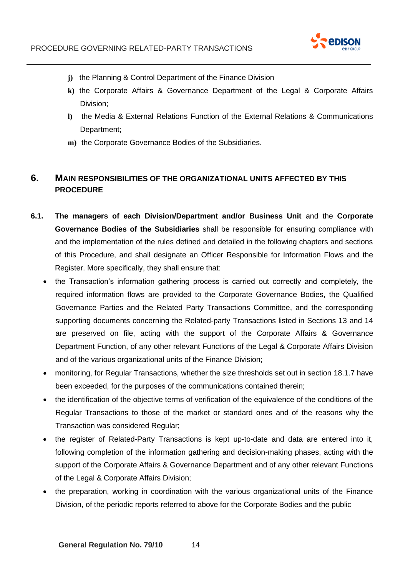

- **j)** the Planning & Control Department of the Finance Division
- **k)** the Corporate Affairs & Governance Department of the Legal & Corporate Affairs Division;
- **l)** the Media & External Relations Function of the External Relations & Communications Department;
- **m)** the Corporate Governance Bodies of the Subsidiaries.

# <span id="page-13-0"></span>**6. MAIN RESPONSIBILITIES OF THE ORGANIZATIONAL UNITS AFFECTED BY THIS PROCEDURE**

- **6.1. The managers of each Division/Department and/or Business Unit** and the **Corporate Governance Bodies of the Subsidiaries** shall be responsible for ensuring compliance with and the implementation of the rules defined and detailed in the following chapters and sections of this Procedure, and shall designate an Officer Responsible for Information Flows and the Register. More specifically, they shall ensure that:
	- the Transaction's information gathering process is carried out correctly and completely, the required information flows are provided to the Corporate Governance Bodies, the Qualified Governance Parties and the Related Party Transactions Committee, and the corresponding supporting documents concerning the Related-party Transactions listed in Sections 13 and 14 are preserved on file, acting with the support of the Corporate Affairs & Governance Department Function, of any other relevant Functions of the Legal & Corporate Affairs Division and of the various organizational units of the Finance Division;
	- monitoring, for Regular Transactions, whether the size thresholds set out in section 18.1.7 have been exceeded, for the purposes of the communications contained therein;
	- the identification of the objective terms of verification of the equivalence of the conditions of the Regular Transactions to those of the market or standard ones and of the reasons why the Transaction was considered Regular;
	- the register of Related-Party Transactions is kept up-to-date and data are entered into it, following completion of the information gathering and decision-making phases, acting with the support of the Corporate Affairs & Governance Department and of any other relevant Functions of the Legal & Corporate Affairs Division;
	- the preparation, working in coordination with the various organizational units of the Finance Division, of the periodic reports referred to above for the Corporate Bodies and the public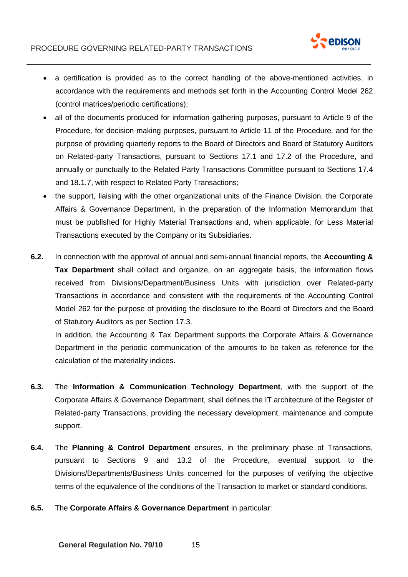

- a certification is provided as to the correct handling of the above-mentioned activities, in accordance with the requirements and methods set forth in the Accounting Control Model 262 (control matrices/periodic certifications);
- all of the documents produced for information gathering purposes, pursuant to Article 9 of the Procedure, for decision making purposes, pursuant to Article 11 of the Procedure, and for the purpose of providing quarterly reports to the Board of Directors and Board of Statutory Auditors on Related-party Transactions, pursuant to Sections 17.1 and 17.2 of the Procedure, and annually or punctually to the Related Party Transactions Committee pursuant to Sections 17.4 and 18.1.7, with respect to Related Party Transactions;
- the support, liaising with the other organizational units of the Finance Division, the Corporate Affairs & Governance Department, in the preparation of the Information Memorandum that must be published for Highly Material Transactions and, when applicable, for Less Material Transactions executed by the Company or its Subsidiaries.
- **6.2.** In connection with the approval of annual and semi-annual financial reports, the **Accounting & Tax Department** shall collect and organize, on an aggregate basis, the information flows received from Divisions/Department/Business Units with jurisdiction over Related-party Transactions in accordance and consistent with the requirements of the Accounting Control Model 262 for the purpose of providing the disclosure to the Board of Directors and the Board of Statutory Auditors as per Section 17.3.

In addition, the Accounting & Tax Department supports the Corporate Affairs & Governance Department in the periodic communication of the amounts to be taken as reference for the calculation of the materiality indices.

- **6.3.** The **Information & Communication Technology Department**, with the support of the Corporate Affairs & Governance Department, shall defines the IT architecture of the Register of Related-party Transactions, providing the necessary development, maintenance and compute support.
- **6.4.** The **Planning & Control Department** ensures, in the preliminary phase of Transactions, pursuant to Sections 9 and 13.2 of the Procedure, eventual support to the Divisions/Departments/Business Units concerned for the purposes of verifying the objective terms of the equivalence of the conditions of the Transaction to market or standard conditions.
- **6.5.** The **Corporate Affairs & Governance Department** in particular: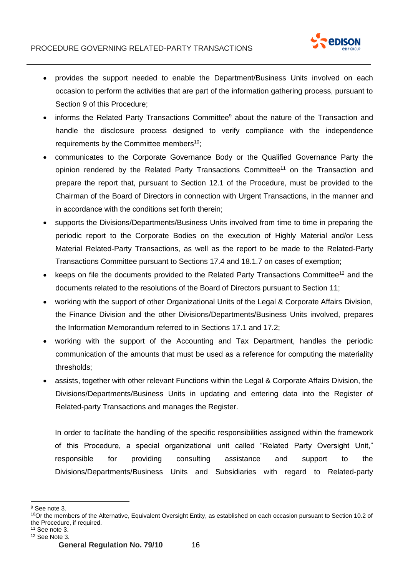

- provides the support needed to enable the Department/Business Units involved on each occasion to perform the activities that are part of the information gathering process, pursuant to Section 9 of this Procedure;
- informs the Related Party Transactions Committee<sup>9</sup> about the nature of the Transaction and handle the disclosure process designed to verify compliance with the independence requirements by the Committee members<sup>10</sup>;
- communicates to the Corporate Governance Body or the Qualified Governance Party the opinion rendered by the Related Party Transactions Committee<sup>11</sup> on the Transaction and prepare the report that, pursuant to Section 12.1 of the Procedure, must be provided to the Chairman of the Board of Directors in connection with Urgent Transactions, in the manner and in accordance with the conditions set forth therein;
- supports the Divisions/Departments/Business Units involved from time to time in preparing the periodic report to the Corporate Bodies on the execution of Highly Material and/or Less Material Related-Party Transactions, as well as the report to be made to the Related-Party Transactions Committee pursuant to Sections 17.4 and 18.1.7 on cases of exemption;
- keeps on file the documents provided to the Related Party Transactions Committee<sup>12</sup> and the documents related to the resolutions of the Board of Directors pursuant to Section 11;
- working with the support of other Organizational Units of the Legal & Corporate Affairs Division, the Finance Division and the other Divisions/Departments/Business Units involved, prepares the Information Memorandum referred to in Sections 17.1 and 17.2;
- working with the support of the Accounting and Tax Department, handles the periodic communication of the amounts that must be used as a reference for computing the materiality thresholds;
- assists, together with other relevant Functions within the Legal & Corporate Affairs Division, the Divisions/Departments/Business Units in updating and entering data into the Register of Related-party Transactions and manages the Register.

In order to facilitate the handling of the specific responsibilities assigned within the framework of this Procedure, a special organizational unit called "Related Party Oversight Unit," responsible for providing consulting assistance and support to the Divisions/Departments/Business Units and Subsidiaries with regard to Related-party

<sup>&</sup>lt;sup>9</sup> See note 3.

 $10$ Or the members of the Alternative, Equivalent Oversight Entity, as established on each occasion pursuant to Section 10.2 of the Procedure, if required.

 $11$  See note 3.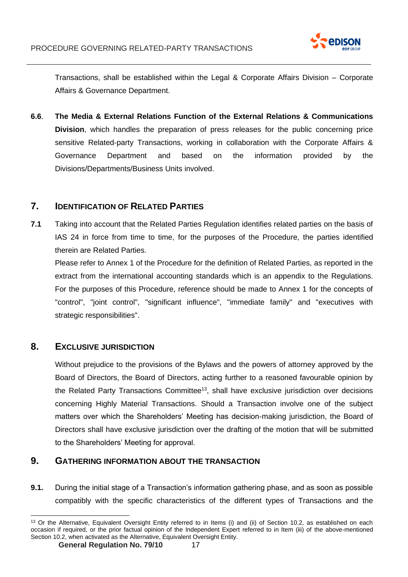

Transactions, shall be established within the Legal & Corporate Affairs Division – Corporate Affairs & Governance Department.

**6.6**. **The Media & External Relations Function of the External Relations & Communications Division**, which handles the preparation of press releases for the public concerning price sensitive Related-party Transactions, working in collaboration with the Corporate Affairs & Governance Department and based on the information provided by the Divisions/Departments/Business Units involved.

# <span id="page-16-0"></span>**7. IDENTIFICATION OF RELATED PARTIES**

**7.1** Taking into account that the Related Parties Regulation identifies related parties on the basis of IAS 24 in force from time to time, for the purposes of the Procedure, the parties identified therein are Related Parties.

Please refer to Annex 1 of the Procedure for the definition of Related Parties, as reported in the extract from the international accounting standards which is an appendix to the Regulations. For the purposes of this Procedure, reference should be made to Annex 1 for the concepts of "control", "joint control", "significant influence", "immediate family" and "executives with strategic responsibilities".

# <span id="page-16-1"></span>**8. EXCLUSIVE JURISDICTION**

Without prejudice to the provisions of the Bylaws and the powers of attorney approved by the Board of Directors, the Board of Directors, acting further to a reasoned favourable opinion by the Related Party Transactions Committee<sup>13</sup>, shall have exclusive jurisdiction over decisions concerning Highly Material Transactions. Should a Transaction involve one of the subject matters over which the Shareholders' Meeting has decision-making jurisdiction, the Board of Directors shall have exclusive jurisdiction over the drafting of the motion that will be submitted to the Shareholders' Meeting for approval.

# <span id="page-16-2"></span>**9. GATHERING INFORMATION ABOUT THE TRANSACTION**

**9.1.** During the initial stage of a Transaction's information gathering phase, and as soon as possible compatibly with the specific characteristics of the different types of Transactions and the

<sup>&</sup>lt;sup>13</sup> Or the Alternative, Equivalent Oversight Entity referred to in Items (i) and (ii) of Section 10.2, as established on each occasion if required, or the prior factual opinion of the Independent Expert referred to in Item (iii) of the above-mentioned Section 10.2, when activated as the Alternative, Equivalent Oversight Entity.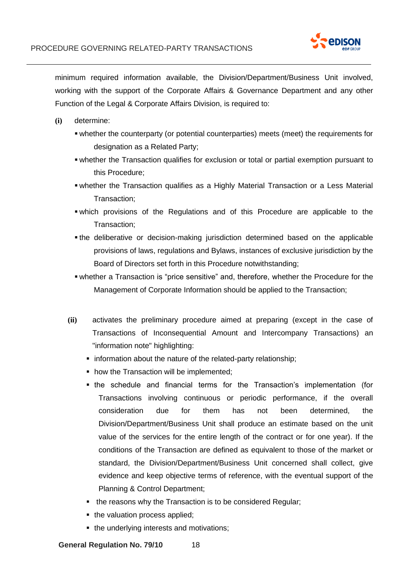

minimum required information available, the Division/Department/Business Unit involved, working with the support of the Corporate Affairs & Governance Department and any other Function of the Legal & Corporate Affairs Division, is required to:

- **(i)** determine:
	- whether the counterparty (or potential counterparties) meets (meet) the requirements for designation as a Related Party;
	- whether the Transaction qualifies for exclusion or total or partial exemption pursuant to this Procedure;
	- **•** whether the Transaction qualifies as a Highly Material Transaction or a Less Material Transaction;
	- which provisions of the Regulations and of this Procedure are applicable to the Transaction;
	- **If the deliberative or decision-making jurisdiction determined based on the applicable** provisions of laws, regulations and Bylaws, instances of exclusive jurisdiction by the Board of Directors set forth in this Procedure notwithstanding;
	- whether a Transaction is "price sensitive" and, therefore, whether the Procedure for the Management of Corporate Information should be applied to the Transaction;
	- **(ii)** activates the preliminary procedure aimed at preparing (except in the case of Transactions of Inconsequential Amount and Intercompany Transactions) an "information note" highlighting:
		- **information about the nature of the related-party relationship;**
		- **how the Transaction will be implemented;**
		- **the schedule and financial terms for the Transaction's implementation (for** Transactions involving continuous or periodic performance, if the overall consideration due for them has not been determined, the Division/Department/Business Unit shall produce an estimate based on the unit value of the services for the entire length of the contract or for one year). If the conditions of the Transaction are defined as equivalent to those of the market or standard, the Division/Department/Business Unit concerned shall collect, give evidence and keep objective terms of reference, with the eventual support of the Planning & Control Department;
		- the reasons why the Transaction is to be considered Regular;
		- the valuation process applied;
		- **.** the underlying interests and motivations;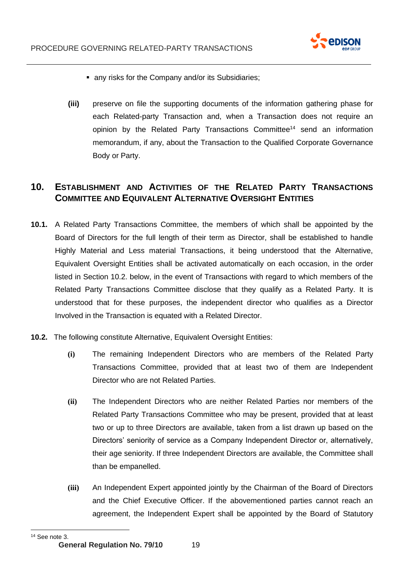

- any risks for the Company and/or its Subsidiaries;
- **(iii)** preserve on file the supporting documents of the information gathering phase for each Related-party Transaction and, when a Transaction does not require an opinion by the Related Party Transactions Committee<sup>14</sup> send an information memorandum, if any, about the Transaction to the Qualified Corporate Governance Body or Party.

# <span id="page-18-0"></span>**10. ESTABLISHMENT AND ACTIVITIES OF THE RELATED PARTY TRANSACTIONS COMMITTEE AND EQUIVALENT ALTERNATIVE OVERSIGHT ENTITIES**

- **10.1.** A Related Party Transactions Committee, the members of which shall be appointed by the Board of Directors for the full length of their term as Director, shall be established to handle Highly Material and Less material Transactions, it being understood that the Alternative, Equivalent Oversight Entities shall be activated automatically on each occasion, in the order listed in Section 10.2. below, in the event of Transactions with regard to which members of the Related Party Transactions Committee disclose that they qualify as a Related Party. It is understood that for these purposes, the independent director who qualifies as a Director Involved in the Transaction is equated with a Related Director.
- **10.2.** The following constitute Alternative, Equivalent Oversight Entities:
	- **(i)** The remaining Independent Directors who are members of the Related Party Transactions Committee, provided that at least two of them are Independent Director who are not Related Parties.
	- **(ii)** The Independent Directors who are neither Related Parties nor members of the Related Party Transactions Committee who may be present, provided that at least two or up to three Directors are available, taken from a list drawn up based on the Directors' seniority of service as a Company Independent Director or, alternatively, their age seniority. If three Independent Directors are available, the Committee shall than be empanelled.
	- **(iii)** An Independent Expert appointed jointly by the Chairman of the Board of Directors and the Chief Executive Officer. If the abovementioned parties cannot reach an agreement, the Independent Expert shall be appointed by the Board of Statutory

<sup>14</sup> See note 3.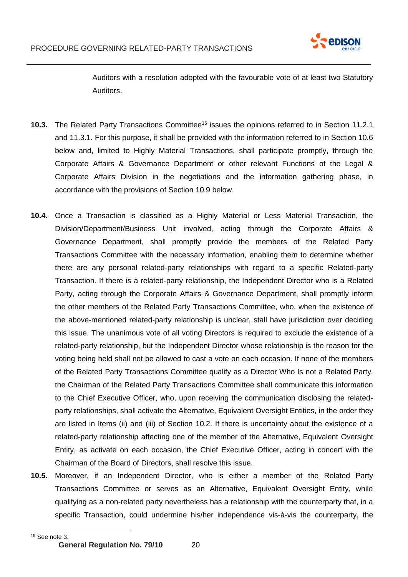

Auditors with a resolution adopted with the favourable vote of at least two Statutory Auditors.

- **10.3.** The Related Party Transactions Committee<sup>15</sup> issues the opinions referred to in Section 11.2.1 and 11.3.1. For this purpose, it shall be provided with the information referred to in Section 10.6 below and, limited to Highly Material Transactions, shall participate promptly, through the Corporate Affairs & Governance Department or other relevant Functions of the Legal & Corporate Affairs Division in the negotiations and the information gathering phase, in accordance with the provisions of Section 10.9 below.
- **10.4.** Once a Transaction is classified as a Highly Material or Less Material Transaction, the Division/Department/Business Unit involved, acting through the Corporate Affairs & Governance Department, shall promptly provide the members of the Related Party Transactions Committee with the necessary information, enabling them to determine whether there are any personal related-party relationships with regard to a specific Related-party Transaction. If there is a related-party relationship, the Independent Director who is a Related Party, acting through the Corporate Affairs & Governance Department, shall promptly inform the other members of the Related Party Transactions Committee, who, when the existence of the above-mentioned related-party relationship is unclear, stall have jurisdiction over deciding this issue. The unanimous vote of all voting Directors is required to exclude the existence of a related-party relationship, but the Independent Director whose relationship is the reason for the voting being held shall not be allowed to cast a vote on each occasion. If none of the members of the Related Party Transactions Committee qualify as a Director Who Is not a Related Party, the Chairman of the Related Party Transactions Committee shall communicate this information to the Chief Executive Officer, who, upon receiving the communication disclosing the relatedparty relationships, shall activate the Alternative, Equivalent Oversight Entities, in the order they are listed in Items (ii) and (iii) of Section 10.2. If there is uncertainty about the existence of a related-party relationship affecting one of the member of the Alternative, Equivalent Oversight Entity, as activate on each occasion, the Chief Executive Officer, acting in concert with the Chairman of the Board of Directors, shall resolve this issue.
- **10.5.** Moreover, if an Independent Director, who is either a member of the Related Party Transactions Committee or serves as an Alternative, Equivalent Oversight Entity, while qualifying as a non-related party nevertheless has a relationship with the counterparty that, in a specific Transaction, could undermine his/her independence vis-à-vis the counterparty, the

<sup>15</sup> See note 3.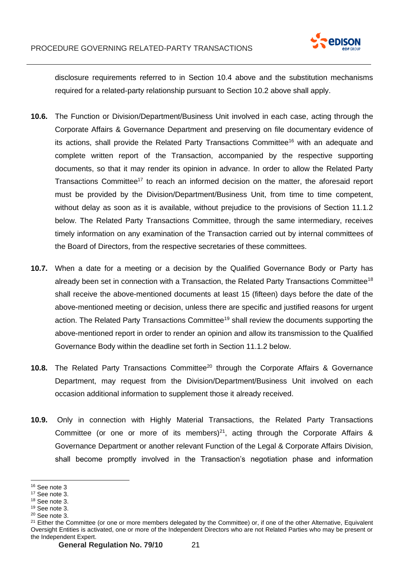

disclosure requirements referred to in Section 10.4 above and the substitution mechanisms required for a related-party relationship pursuant to Section 10.2 above shall apply.

- **10.6.** The Function or Division/Department/Business Unit involved in each case, acting through the Corporate Affairs & Governance Department and preserving on file documentary evidence of its actions, shall provide the Related Party Transactions Committee<sup>16</sup> with an adequate and complete written report of the Transaction, accompanied by the respective supporting documents, so that it may render its opinion in advance. In order to allow the Related Party Transactions Committee<sup>17</sup> to reach an informed decision on the matter, the aforesaid report must be provided by the Division/Department/Business Unit, from time to time competent, without delay as soon as it is available, without prejudice to the provisions of Section 11.1.2 below. The Related Party Transactions Committee, through the same intermediary, receives timely information on any examination of the Transaction carried out by internal committees of the Board of Directors, from the respective secretaries of these committees.
- **10.7.** When a date for a meeting or a decision by the Qualified Governance Body or Party has already been set in connection with a Transaction, the Related Party Transactions Committee<sup>18</sup> shall receive the above-mentioned documents at least 15 (fifteen) days before the date of the above-mentioned meeting or decision, unless there are specific and justified reasons for urgent action. The Related Party Transactions Committee<sup>19</sup> shall review the documents supporting the above-mentioned report in order to render an opinion and allow its transmission to the Qualified Governance Body within the deadline set forth in Section 11.1.2 below.
- 10.8. The Related Party Transactions Committee<sup>20</sup> through the Corporate Affairs & Governance Department, may request from the Division/Department/Business Unit involved on each occasion additional information to supplement those it already received.
- **10.9.** Only in connection with Highly Material Transactions, the Related Party Transactions Committee (or one or more of its members)<sup>21</sup>, acting through the Corporate Affairs & Governance Department or another relevant Function of the Legal & Corporate Affairs Division, shall become promptly involved in the Transaction's negotiation phase and information

<sup>16</sup> See note 3

<sup>17</sup> See note 3.

<sup>18</sup> See note 3.

<sup>19</sup> See note 3.

<sup>20</sup> See note 3.

<sup>&</sup>lt;sup>21</sup> Either the Committee (or one or more members delegated by the Committee) or, if one of the other Alternative, Equivalent Oversight Entities is activated, one or more of the Independent Directors who are not Related Parties who may be present or the Independent Expert.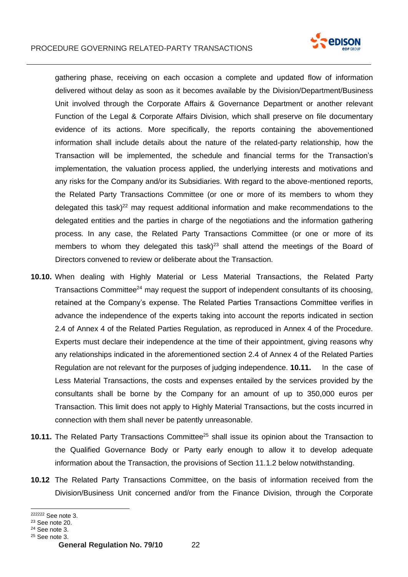

gathering phase, receiving on each occasion a complete and updated flow of information delivered without delay as soon as it becomes available by the Division/Department/Business Unit involved through the Corporate Affairs & Governance Department or another relevant Function of the Legal & Corporate Affairs Division, which shall preserve on file documentary evidence of its actions. More specifically, the reports containing the abovementioned information shall include details about the nature of the related-party relationship, how the Transaction will be implemented, the schedule and financial terms for the Transaction's implementation, the valuation process applied, the underlying interests and motivations and any risks for the Company and/or its Subsidiaries. With regard to the above-mentioned reports, the Related Party Transactions Committee (or one or more of its members to whom they delegated this task)<sup>22</sup> may request additional information and make recommendations to the delegated entities and the parties in charge of the negotiations and the information gathering process. In any case, the Related Party Transactions Committee (or one or more of its members to whom they delegated this task) $^{23}$  shall attend the meetings of the Board of Directors convened to review or deliberate about the Transaction.

- **10.10.** When dealing with Highly Material or Less Material Transactions, the Related Party Transactions Committee<sup>24</sup> may request the support of independent consultants of its choosing, retained at the Company's expense. The Related Parties Transactions Committee verifies in advance the independence of the experts taking into account the reports indicated in section 2.4 of Annex 4 of the Related Parties Regulation, as reproduced in Annex 4 of the Procedure. Experts must declare their independence at the time of their appointment, giving reasons why any relationships indicated in the aforementioned section 2.4 of Annex 4 of the Related Parties Regulation are not relevant for the purposes of judging independence. **10.11.** In the case of Less Material Transactions, the costs and expenses entailed by the services provided by the consultants shall be borne by the Company for an amount of up to 350,000 euros per Transaction. This limit does not apply to Highly Material Transactions, but the costs incurred in connection with them shall never be patently unreasonable.
- **10.11.** The Related Party Transactions Committee<sup>25</sup> shall issue its opinion about the Transaction to the Qualified Governance Body or Party early enough to allow it to develop adequate information about the Transaction, the provisions of Section 11.1.2 below notwithstanding.
- **10.12** The Related Party Transactions Committee, on the basis of information received from the Division/Business Unit concerned and/or from the Finance Division, through the Corporate

<sup>222222</sup> See note 3.

<sup>23</sup> See note 20.

<sup>24</sup> See note 3.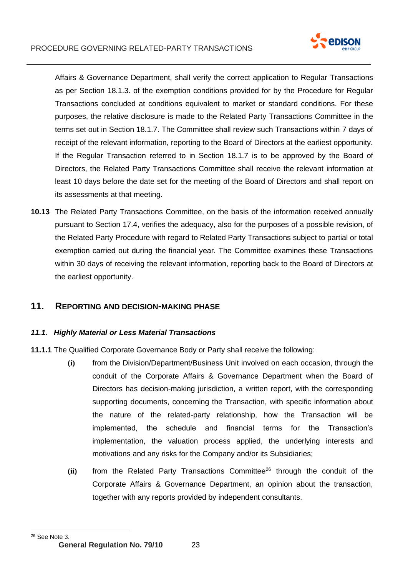

Affairs & Governance Department, shall verify the correct application to Regular Transactions as per Section 18.1.3. of the exemption conditions provided for by the Procedure for Regular Transactions concluded at conditions equivalent to market or standard conditions. For these purposes, the relative disclosure is made to the Related Party Transactions Committee in the terms set out in Section 18.1.7. The Committee shall review such Transactions within 7 days of receipt of the relevant information, reporting to the Board of Directors at the earliest opportunity. If the Regular Transaction referred to in Section 18.1.7 is to be approved by the Board of Directors, the Related Party Transactions Committee shall receive the relevant information at least 10 days before the date set for the meeting of the Board of Directors and shall report on its assessments at that meeting.

**10.13** The Related Party Transactions Committee, on the basis of the information received annually pursuant to Section 17.4, verifies the adequacy, also for the purposes of a possible revision, of the Related Party Procedure with regard to Related Party Transactions subject to partial or total exemption carried out during the financial year. The Committee examines these Transactions within 30 days of receiving the relevant information, reporting back to the Board of Directors at the earliest opportunity.

# <span id="page-22-0"></span>**11. REPORTING AND DECISION-MAKING PHASE**

### *11.1. Highly Material or Less Material Transactions*

- **11.1.1** The Qualified Corporate Governance Body or Party shall receive the following:
	- **(i)** from the Division/Department/Business Unit involved on each occasion, through the conduit of the Corporate Affairs & Governance Department when the Board of Directors has decision-making jurisdiction, a written report, with the corresponding supporting documents, concerning the Transaction, with specific information about the nature of the related-party relationship, how the Transaction will be implemented, the schedule and financial terms for the Transaction's implementation, the valuation process applied, the underlying interests and motivations and any risks for the Company and/or its Subsidiaries;
	- (ii) from the Related Party Transactions Committee<sup>26</sup> through the conduit of the Corporate Affairs & Governance Department, an opinion about the transaction, together with any reports provided by independent consultants.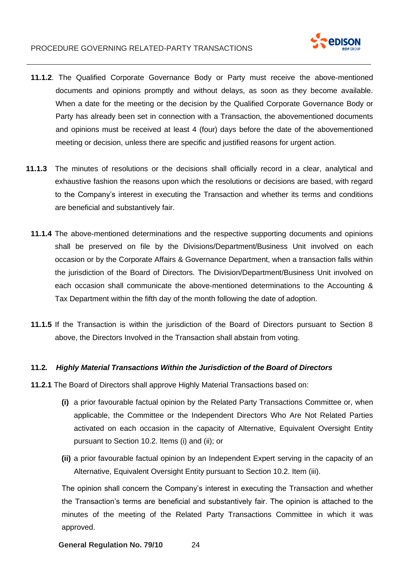

- **11.1.2**. The Qualified Corporate Governance Body or Party must receive the above-mentioned documents and opinions promptly and without delays, as soon as they become available. When a date for the meeting or the decision by the Qualified Corporate Governance Body or Party has already been set in connection with a Transaction, the abovementioned documents and opinions must be received at least 4 (four) days before the date of the abovementioned meeting or decision, unless there are specific and justified reasons for urgent action.
- **11.1.3** The minutes of resolutions or the decisions shall officially record in a clear, analytical and exhaustive fashion the reasons upon which the resolutions or decisions are based, with regard to the Company's interest in executing the Transaction and whether its terms and conditions are beneficial and substantively fair.
	- **11.1.4** The above-mentioned determinations and the respective supporting documents and opinions shall be preserved on file by the Divisions/Department/Business Unit involved on each occasion or by the Corporate Affairs & Governance Department, when a transaction falls within the jurisdiction of the Board of Directors. The Division/Department/Business Unit involved on each occasion shall communicate the above-mentioned determinations to the Accounting & Tax Department within the fifth day of the month following the date of adoption.
	- **11.1.5** If the Transaction is within the jurisdiction of the Board of Directors pursuant to Section 8 above, the Directors Involved in the Transaction shall abstain from voting.

#### **11.2***. Highly Material Transactions Within the Jurisdiction of the Board of Directors*

- **11.2.1** The Board of Directors shall approve Highly Material Transactions based on:
	- **(i)** a prior favourable factual opinion by the Related Party Transactions Committee or, when applicable, the Committee or the Independent Directors Who Are Not Related Parties activated on each occasion in the capacity of Alternative, Equivalent Oversight Entity pursuant to Section 10.2. Items (i) and (ii); or
	- **(ii)** a prior favourable factual opinion by an Independent Expert serving in the capacity of an Alternative, Equivalent Oversight Entity pursuant to Section 10.2. Item (iii).

The opinion shall concern the Company's interest in executing the Transaction and whether the Transaction's terms are beneficial and substantively fair. The opinion is attached to the minutes of the meeting of the Related Party Transactions Committee in which it was approved.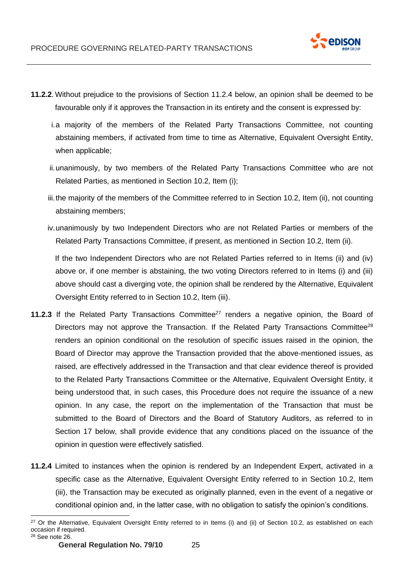

- **11.2.2**.Without prejudice to the provisions of Section 11.2.4 below, an opinion shall be deemed to be favourable only if it approves the Transaction in its entirety and the consent is expressed by:
	- i.a majority of the members of the Related Party Transactions Committee, not counting abstaining members, if activated from time to time as Alternative, Equivalent Oversight Entity, when applicable;
	- ii.unanimously, by two members of the Related Party Transactions Committee who are not Related Parties, as mentioned in Section 10.2, Item (i);
	- iii.the majority of the members of the Committee referred to in Section 10.2, Item (ii), not counting abstaining members;
	- iv.unanimously by two Independent Directors who are not Related Parties or members of the Related Party Transactions Committee, if present, as mentioned in Section 10.2, Item (ii).

If the two Independent Directors who are not Related Parties referred to in Items (ii) and (iv) above or, if one member is abstaining, the two voting Directors referred to in Items (i) and (iii) above should cast a diverging vote, the opinion shall be rendered by the Alternative, Equivalent Oversight Entity referred to in Section 10.2, Item (iii).

- **11.2.3** If the Related Party Transactions Committee<sup>27</sup> renders a negative opinion, the Board of Directors may not approve the Transaction. If the Related Party Transactions Committee<sup>28</sup> renders an opinion conditional on the resolution of specific issues raised in the opinion, the Board of Director may approve the Transaction provided that the above-mentioned issues, as raised, are effectively addressed in the Transaction and that clear evidence thereof is provided to the Related Party Transactions Committee or the Alternative, Equivalent Oversight Entity, it being understood that, in such cases, this Procedure does not require the issuance of a new opinion. In any case, the report on the implementation of the Transaction that must be submitted to the Board of Directors and the Board of Statutory Auditors, as referred to in Section 17 below, shall provide evidence that any conditions placed on the issuance of the opinion in question were effectively satisfied.
- **11.2.4** Limited to instances when the opinion is rendered by an Independent Expert, activated in a specific case as the Alternative, Equivalent Oversight Entity referred to in Section 10.2, Item (iii), the Transaction may be executed as originally planned, even in the event of a negative or conditional opinion and, in the latter case, with no obligation to satisfy the opinion's conditions.

<sup>&</sup>lt;sup>27</sup> Or the Alternative, Equivalent Oversight Entity referred to in Items (i) and (ii) of Section 10.2, as established on each occasion if required. <sup>28</sup> See note 26.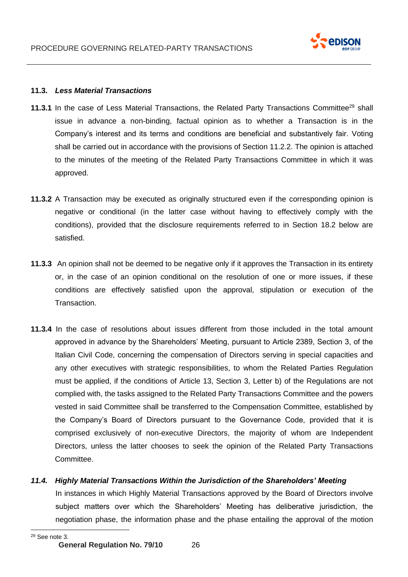

#### **11.3.** *Less Material Transactions*

- **11.3.1** In the case of Less Material Transactions, the Related Party Transactions Committee<sup>29</sup> shall issue in advance a non-binding, factual opinion as to whether a Transaction is in the Company's interest and its terms and conditions are beneficial and substantively fair. Voting shall be carried out in accordance with the provisions of Section 11.2.2. The opinion is attached to the minutes of the meeting of the Related Party Transactions Committee in which it was approved.
- **11.3.2** A Transaction may be executed as originally structured even if the corresponding opinion is negative or conditional (in the latter case without having to effectively comply with the conditions), provided that the disclosure requirements referred to in Section 18.2 below are satisfied.
- **11.3.3** An opinion shall not be deemed to be negative only if it approves the Transaction in its entirety or, in the case of an opinion conditional on the resolution of one or more issues, if these conditions are effectively satisfied upon the approval, stipulation or execution of the Transaction.
- **11.3.4** In the case of resolutions about issues different from those included in the total amount approved in advance by the Shareholders' Meeting, pursuant to Article 2389, Section 3, of the Italian Civil Code, concerning the compensation of Directors serving in special capacities and any other executives with strategic responsibilities, to whom the Related Parties Regulation must be applied, if the conditions of Article 13, Section 3, Letter b) of the Regulations are not complied with, the tasks assigned to the Related Party Transactions Committee and the powers vested in said Committee shall be transferred to the Compensation Committee, established by the Company's Board of Directors pursuant to the Governance Code, provided that it is comprised exclusively of non-executive Directors, the majority of whom are Independent Directors, unless the latter chooses to seek the opinion of the Related Party Transactions Committee.

#### *11.4. Highly Material Transactions Within the Jurisdiction of the Shareholders' Meeting*

In instances in which Highly Material Transactions approved by the Board of Directors involve subject matters over which the Shareholders' Meeting has deliberative jurisdiction, the negotiation phase, the information phase and the phase entailing the approval of the motion

<sup>29</sup> See note 3.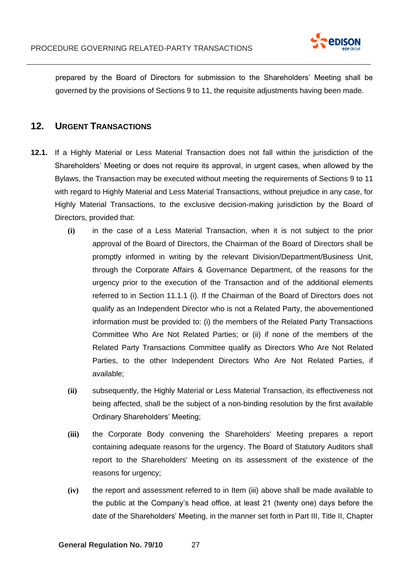

prepared by the Board of Directors for submission to the Shareholders' Meeting shall be governed by the provisions of Sections 9 to 11, the requisite adjustments having been made.

# <span id="page-26-0"></span>**12. URGENT TRANSACTIONS**

- **12.1.** If a Highly Material or Less Material Transaction does not fall within the jurisdiction of the Shareholders' Meeting or does not require its approval, in urgent cases, when allowed by the Bylaws, the Transaction may be executed without meeting the requirements of Sections 9 to 11 with regard to Highly Material and Less Material Transactions, without prejudice in any case, for Highly Material Transactions, to the exclusive decision-making jurisdiction by the Board of Directors, provided that:
	- **(i)** in the case of a Less Material Transaction, when it is not subject to the prior approval of the Board of Directors, the Chairman of the Board of Directors shall be promptly informed in writing by the relevant Division/Department/Business Unit, through the Corporate Affairs & Governance Department, of the reasons for the urgency prior to the execution of the Transaction and of the additional elements referred to in Section 11.1.1 (i). If the Chairman of the Board of Directors does not qualify as an Independent Director who is not a Related Party, the abovementioned information must be provided to: (i) the members of the Related Party Transactions Committee Who Are Not Related Parties; or (ii) if none of the members of the Related Party Transactions Committee qualify as Directors Who Are Not Related Parties, to the other Independent Directors Who Are Not Related Parties, if available;
	- **(ii)** subsequently, the Highly Material or Less Material Transaction, its effectiveness not being affected, shall be the subject of a non-binding resolution by the first available Ordinary Shareholders' Meeting;
	- **(iii)** the Corporate Body convening the Shareholders' Meeting prepares a report containing adequate reasons for the urgency. The Board of Statutory Auditors shall report to the Shareholders' Meeting on its assessment of the existence of the reasons for urgency;
	- **(iv)** the report and assessment referred to in Item (iii) above shall be made available to the public at the Company's head office, at least 21 (twenty one) days before the date of the Shareholders' Meeting, in the manner set forth in Part III, Title II, Chapter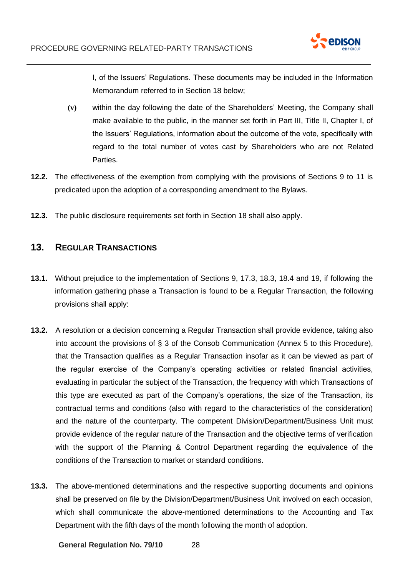

I, of the Issuers' Regulations. These documents may be included in the Information Memorandum referred to in Section 18 below;

- **(v)** within the day following the date of the Shareholders' Meeting, the Company shall make available to the public, in the manner set forth in Part III, Title II, Chapter I, of the Issuers' Regulations, information about the outcome of the vote, specifically with regard to the total number of votes cast by Shareholders who are not Related Parties.
- **12.2.** The effectiveness of the exemption from complying with the provisions of Sections 9 to 11 is predicated upon the adoption of a corresponding amendment to the Bylaws.
- **12.3.** The public disclosure requirements set forth in Section 18 shall also apply.

# <span id="page-27-0"></span>**13. REGULAR TRANSACTIONS**

- **13.1.** Without prejudice to the implementation of Sections 9, 17.3, 18.3, 18.4 and 19, if following the information gathering phase a Transaction is found to be a Regular Transaction, the following provisions shall apply:
- **13.2.** A resolution or a decision concerning a Regular Transaction shall provide evidence, taking also into account the provisions of § 3 of the Consob Communication (Annex 5 to this Procedure), that the Transaction qualifies as a Regular Transaction insofar as it can be viewed as part of the regular exercise of the Company's operating activities or related financial activities, evaluating in particular the subject of the Transaction, the frequency with which Transactions of this type are executed as part of the Company's operations, the size of the Transaction, its contractual terms and conditions (also with regard to the characteristics of the consideration) and the nature of the counterparty. The competent Division/Department/Business Unit must provide evidence of the regular nature of the Transaction and the objective terms of verification with the support of the Planning & Control Department regarding the equivalence of the conditions of the Transaction to market or standard conditions.
- **13.3.** The above-mentioned determinations and the respective supporting documents and opinions shall be preserved on file by the Division/Department/Business Unit involved on each occasion, which shall communicate the above-mentioned determinations to the Accounting and Tax Department with the fifth days of the month following the month of adoption.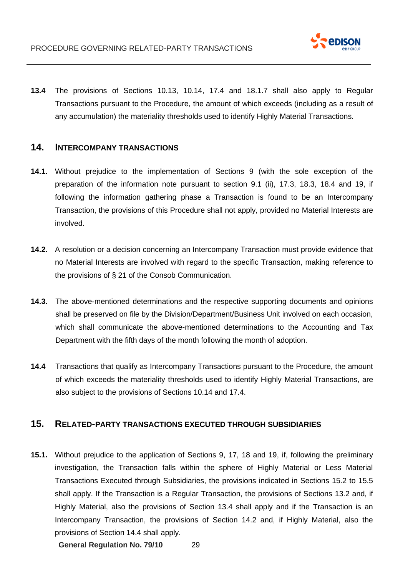

**13.4** The provisions of Sections 10.13, 10.14, 17.4 and 18.1.7 shall also apply to Regular Transactions pursuant to the Procedure, the amount of which exceeds (including as a result of any accumulation) the materiality thresholds used to identify Highly Material Transactions.

## **14. INTERCOMPANY TRANSACTIONS**

- **14.1.** Without prejudice to the implementation of Sections 9 (with the sole exception of the preparation of the information note pursuant to section 9.1 (ii), 17.3, 18.3, 18.4 and 19, if following the information gathering phase a Transaction is found to be an Intercompany Transaction, the provisions of this Procedure shall not apply, provided no Material Interests are involved.
- **14.2.** A resolution or a decision concerning an Intercompany Transaction must provide evidence that no Material Interests are involved with regard to the specific Transaction, making reference to the provisions of § 21 of the Consob Communication.
- **14.3.** The above-mentioned determinations and the respective supporting documents and opinions shall be preserved on file by the Division/Department/Business Unit involved on each occasion, which shall communicate the above-mentioned determinations to the Accounting and Tax Department with the fifth days of the month following the month of adoption.
- **14.4** Transactions that qualify as Intercompany Transactions pursuant to the Procedure, the amount of which exceeds the materiality thresholds used to identify Highly Material Transactions, are also subject to the provisions of Sections 10.14 and 17.4.

## <span id="page-28-0"></span>**15. RELATED-PARTY TRANSACTIONS EXECUTED THROUGH SUBSIDIARIES**

**15.1.** Without prejudice to the application of Sections 9, 17, 18 and 19, if, following the preliminary investigation, the Transaction falls within the sphere of Highly Material or Less Material Transactions Executed through Subsidiaries, the provisions indicated in Sections 15.2 to 15.5 shall apply. If the Transaction is a Regular Transaction, the provisions of Sections 13.2 and, if Highly Material, also the provisions of Section 13.4 shall apply and if the Transaction is an Intercompany Transaction, the provisions of Section 14.2 and, if Highly Material, also the provisions of Section 14.4 shall apply.

**General Regulation No. 79/10** 29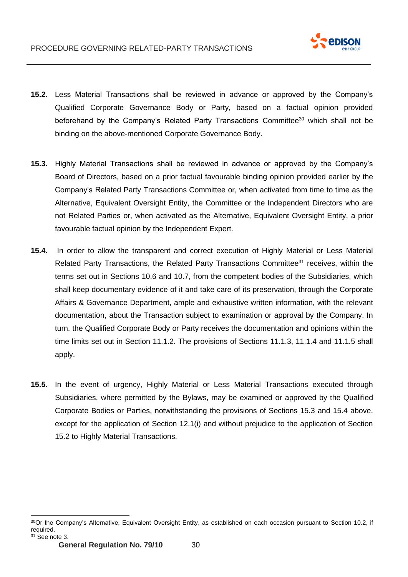

- **15.2.** Less Material Transactions shall be reviewed in advance or approved by the Company's Qualified Corporate Governance Body or Party, based on a factual opinion provided beforehand by the Company's Related Party Transactions Committee $30$  which shall not be binding on the above-mentioned Corporate Governance Body.
- **15.3.** Highly Material Transactions shall be reviewed in advance or approved by the Company's Board of Directors, based on a prior factual favourable binding opinion provided earlier by the Company's Related Party Transactions Committee or, when activated from time to time as the Alternative, Equivalent Oversight Entity, the Committee or the Independent Directors who are not Related Parties or, when activated as the Alternative, Equivalent Oversight Entity, a prior favourable factual opinion by the Independent Expert.
- **15.4.** In order to allow the transparent and correct execution of Highly Material or Less Material Related Party Transactions, the Related Party Transactions Committee<sup>31</sup> receives, within the terms set out in Sections 10.6 and 10.7, from the competent bodies of the Subsidiaries, which shall keep documentary evidence of it and take care of its preservation, through the Corporate Affairs & Governance Department, ample and exhaustive written information, with the relevant documentation, about the Transaction subject to examination or approval by the Company. In turn, the Qualified Corporate Body or Party receives the documentation and opinions within the time limits set out in Section 11.1.2. The provisions of Sections 11.1.3, 11.1.4 and 11.1.5 shall apply.
- **15.5.** In the event of urgency, Highly Material or Less Material Transactions executed through Subsidiaries, where permitted by the Bylaws, may be examined or approved by the Qualified Corporate Bodies or Parties, notwithstanding the provisions of Sections 15.3 and 15.4 above, except for the application of Section 12.1(i) and without prejudice to the application of Section 15.2 to Highly Material Transactions.

<sup>30</sup>Or the Company's Alternative, Equivalent Oversight Entity, as established on each occasion pursuant to Section 10.2, if required.  $31$  See note 3.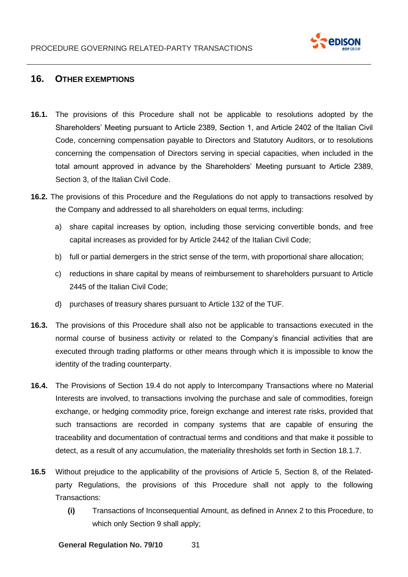

# <span id="page-30-0"></span>**16. OTHER EXEMPTIONS**

- **16.1.** The provisions of this Procedure shall not be applicable to resolutions adopted by the Shareholders' Meeting pursuant to Article 2389, Section 1, and Article 2402 of the Italian Civil Code, concerning compensation payable to Directors and Statutory Auditors, or to resolutions concerning the compensation of Directors serving in special capacities, when included in the total amount approved in advance by the Shareholders' Meeting pursuant to Article 2389, Section 3, of the Italian Civil Code.
- **16.2.** The provisions of this Procedure and the Regulations do not apply to transactions resolved by the Company and addressed to all shareholders on equal terms, including:
	- a) share capital increases by option, including those servicing convertible bonds, and free capital increases as provided for by Article 2442 of the Italian Civil Code;
	- b) full or partial demergers in the strict sense of the term, with proportional share allocation;
	- c) reductions in share capital by means of reimbursement to shareholders pursuant to Article 2445 of the Italian Civil Code;
	- d) purchases of treasury shares pursuant to Article 132 of the TUF.
- **16.3.** The provisions of this Procedure shall also not be applicable to transactions executed in the normal course of business activity or related to the Company's financial activities that are executed through trading platforms or other means through which it is impossible to know the identity of the trading counterparty.
- **16.4.** The Provisions of Section 19.4 do not apply to Intercompany Transactions where no Material Interests are involved, to transactions involving the purchase and sale of commodities, foreign exchange, or hedging commodity price, foreign exchange and interest rate risks, provided that such transactions are recorded in company systems that are capable of ensuring the traceability and documentation of contractual terms and conditions and that make it possible to detect, as a result of any accumulation, the materiality thresholds set forth in Section 18.1.7.
- **16.5** Without prejudice to the applicability of the provisions of Article 5, Section 8, of the Relatedparty Regulations, the provisions of this Procedure shall not apply to the following Transactions:
	- **(i)** Transactions of Inconsequential Amount, as defined in Annex 2 to this Procedure, to which only Section 9 shall apply;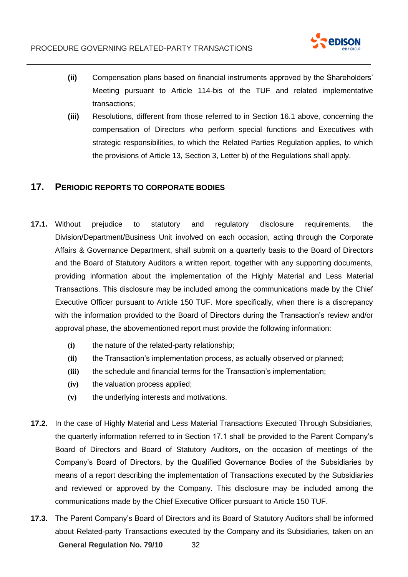

- **(ii)** Compensation plans based on financial instruments approved by the Shareholders' Meeting pursuant to Article 114-bis of the TUF and related implementative transactions;
- **(iii)** Resolutions, different from those referred to in Section 16.1 above, concerning the compensation of Directors who perform special functions and Executives with strategic responsibilities, to which the Related Parties Regulation applies, to which the provisions of Article 13, Section 3, Letter b) of the Regulations shall apply.

## <span id="page-31-0"></span>**17. PERIODIC REPORTS TO CORPORATE BODIES**

- **17.1.** Without prejudice to statutory and regulatory disclosure requirements, the Division/Department/Business Unit involved on each occasion, acting through the Corporate Affairs & Governance Department, shall submit on a quarterly basis to the Board of Directors and the Board of Statutory Auditors a written report, together with any supporting documents, providing information about the implementation of the Highly Material and Less Material Transactions. This disclosure may be included among the communications made by the Chief Executive Officer pursuant to Article 150 TUF. More specifically, when there is a discrepancy with the information provided to the Board of Directors during the Transaction's review and/or approval phase, the abovementioned report must provide the following information:
	- **(i)** the nature of the related-party relationship;
	- **(ii)** the Transaction's implementation process, as actually observed or planned;
	- **(iii)** the schedule and financial terms for the Transaction's implementation;
	- **(iv)** the valuation process applied;
	- **(v)** the underlying interests and motivations.
- **17.2.** In the case of Highly Material and Less Material Transactions Executed Through Subsidiaries, the quarterly information referred to in Section 17.1 shall be provided to the Parent Company's Board of Directors and Board of Statutory Auditors, on the occasion of meetings of the Company's Board of Directors, by the Qualified Governance Bodies of the Subsidiaries by means of a report describing the implementation of Transactions executed by the Subsidiaries and reviewed or approved by the Company. This disclosure may be included among the communications made by the Chief Executive Officer pursuant to Article 150 TUF.
- **General Regulation No. 79/10** 32 **17.3.** The Parent Company's Board of Directors and its Board of Statutory Auditors shall be informed about Related-party Transactions executed by the Company and its Subsidiaries, taken on an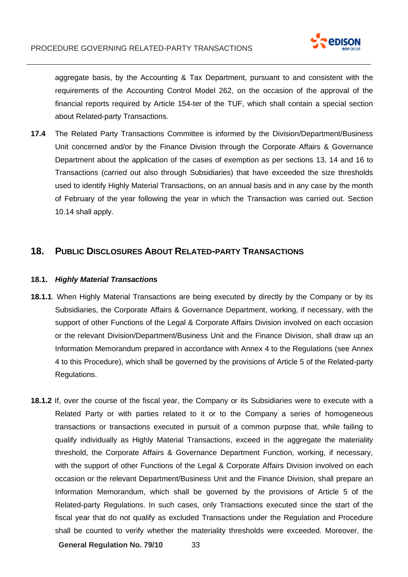

aggregate basis, by the Accounting & Tax Department, pursuant to and consistent with the requirements of the Accounting Control Model 262, on the occasion of the approval of the financial reports required by Article 154-ter of the TUF, which shall contain a special section about Related-party Transactions.

**17.4** The Related Party Transactions Committee is informed by the Division/Department/Business Unit concerned and/or by the Finance Division through the Corporate Affairs & Governance Department about the application of the cases of exemption as per sections 13, 14 and 16 to Transactions (carried out also through Subsidiaries) that have exceeded the size thresholds used to identify Highly Material Transactions, on an annual basis and in any case by the month of February of the year following the year in which the Transaction was carried out. Section 10.14 shall apply.

## **18. PUBLIC DISCLOSURES ABOUT RELATED-PARTY TRANSACTIONS**

#### **18.1.** *Highly Material Transactions*

- **18.1.1**. When Highly Material Transactions are being executed by directly by the Company or by its Subsidiaries, the Corporate Affairs & Governance Department, working, if necessary, with the support of other Functions of the Legal & Corporate Affairs Division involved on each occasion or the relevant Division/Department/Business Unit and the Finance Division, shall draw up an Information Memorandum prepared in accordance with Annex 4 to the Regulations (see Annex 4 to this Procedure), which shall be governed by the provisions of Article 5 of the Related-party Regulations.
- **18.1.2** If, over the course of the fiscal year, the Company or its Subsidiaries were to execute with a Related Party or with parties related to it or to the Company a series of homogeneous transactions or transactions executed in pursuit of a common purpose that, while failing to qualify individually as Highly Material Transactions, exceed in the aggregate the materiality threshold, the Corporate Affairs & Governance Department Function, working, if necessary, with the support of other Functions of the Legal & Corporate Affairs Division involved on each occasion or the relevant Department/Business Unit and the Finance Division, shall prepare an Information Memorandum, which shall be governed by the provisions of Article 5 of the Related-party Regulations. In such cases, only Transactions executed since the start of the fiscal year that do not qualify as excluded Transactions under the Regulation and Procedure shall be counted to verify whether the materiality thresholds were exceeded. Moreover, the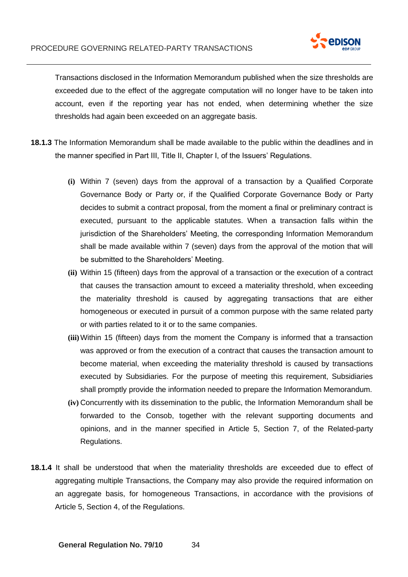

Transactions disclosed in the Information Memorandum published when the size thresholds are exceeded due to the effect of the aggregate computation will no longer have to be taken into account, even if the reporting year has not ended, when determining whether the size thresholds had again been exceeded on an aggregate basis.

- **18.1.3** The Information Memorandum shall be made available to the public within the deadlines and in the manner specified in Part III, Title II, Chapter I, of the Issuers' Regulations.
	- **(i)** Within 7 (seven) days from the approval of a transaction by a Qualified Corporate Governance Body or Party or, if the Qualified Corporate Governance Body or Party decides to submit a contract proposal, from the moment a final or preliminary contract is executed, pursuant to the applicable statutes. When a transaction falls within the jurisdiction of the Shareholders' Meeting, the corresponding Information Memorandum shall be made available within 7 (seven) days from the approval of the motion that will be submitted to the Shareholders' Meeting.
	- **(ii)** Within 15 (fifteen) days from the approval of a transaction or the execution of a contract that causes the transaction amount to exceed a materiality threshold, when exceeding the materiality threshold is caused by aggregating transactions that are either homogeneous or executed in pursuit of a common purpose with the same related party or with parties related to it or to the same companies.
	- **(iii)**Within 15 (fifteen) days from the moment the Company is informed that a transaction was approved or from the execution of a contract that causes the transaction amount to become material, when exceeding the materiality threshold is caused by transactions executed by Subsidiaries. For the purpose of meeting this requirement, Subsidiaries shall promptly provide the information needed to prepare the Information Memorandum.
	- **(iv)** Concurrently with its dissemination to the public, the Information Memorandum shall be forwarded to the Consob, together with the relevant supporting documents and opinions, and in the manner specified in Article 5, Section 7, of the Related-party Regulations.
- **18.1.4** It shall be understood that when the materiality thresholds are exceeded due to effect of aggregating multiple Transactions, the Company may also provide the required information on an aggregate basis, for homogeneous Transactions, in accordance with the provisions of Article 5, Section 4, of the Regulations.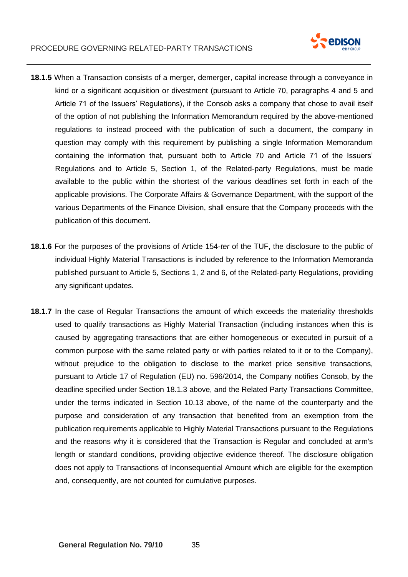

- **18.1.5** When a Transaction consists of a merger, demerger, capital increase through a conveyance in kind or a significant acquisition or divestment (pursuant to Article 70, paragraphs 4 and 5 and Article 71 of the Issuers' Regulations), if the Consob asks a company that chose to avail itself of the option of not publishing the Information Memorandum required by the above-mentioned regulations to instead proceed with the publication of such a document, the company in question may comply with this requirement by publishing a single Information Memorandum containing the information that, pursuant both to Article 70 and Article 71 of the Issuers' Regulations and to Article 5, Section 1, of the Related-party Regulations, must be made available to the public within the shortest of the various deadlines set forth in each of the applicable provisions. The Corporate Affairs & Governance Department, with the support of the various Departments of the Finance Division, shall ensure that the Company proceeds with the publication of this document.
- **18.1.6** For the purposes of the provisions of Article 154-*ter* of the TUF, the disclosure to the public of individual Highly Material Transactions is included by reference to the Information Memoranda published pursuant to Article 5, Sections 1, 2 and 6, of the Related-party Regulations, providing any significant updates.
- **18.1.7** In the case of Regular Transactions the amount of which exceeds the materiality thresholds used to qualify transactions as Highly Material Transaction (including instances when this is caused by aggregating transactions that are either homogeneous or executed in pursuit of a common purpose with the same related party or with parties related to it or to the Company), without prejudice to the obligation to disclose to the market price sensitive transactions, pursuant to Article 17 of Regulation (EU) no. 596/2014, the Company notifies Consob, by the deadline specified under Section 18.1.3 above, and the Related Party Transactions Committee, under the terms indicated in Section 10.13 above, of the name of the counterparty and the purpose and consideration of any transaction that benefited from an exemption from the publication requirements applicable to Highly Material Transactions pursuant to the Regulations and the reasons why it is considered that the Transaction is Regular and concluded at arm's length or standard conditions, providing objective evidence thereof. The disclosure obligation does not apply to Transactions of Inconsequential Amount which are eligible for the exemption and, consequently, are not counted for cumulative purposes.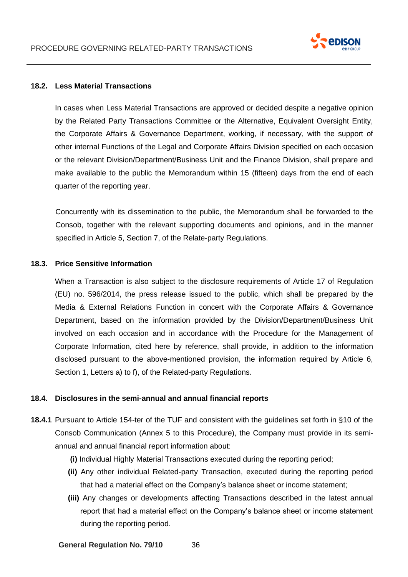

#### **18.2. Less Material Transactions**

In cases when Less Material Transactions are approved or decided despite a negative opinion by the Related Party Transactions Committee or the Alternative, Equivalent Oversight Entity, the Corporate Affairs & Governance Department, working, if necessary, with the support of other internal Functions of the Legal and Corporate Affairs Division specified on each occasion or the relevant Division/Department/Business Unit and the Finance Division, shall prepare and make available to the public the Memorandum within 15 (fifteen) days from the end of each quarter of the reporting year.

Concurrently with its dissemination to the public, the Memorandum shall be forwarded to the Consob, together with the relevant supporting documents and opinions, and in the manner specified in Article 5, Section 7, of the Relate-party Regulations.

#### **18.3. Price Sensitive Information**

When a Transaction is also subject to the disclosure requirements of Article 17 of Regulation (EU) no. 596/2014, the press release issued to the public, which shall be prepared by the Media & External Relations Function in concert with the Corporate Affairs & Governance Department, based on the information provided by the Division/Department/Business Unit involved on each occasion and in accordance with the Procedure for the Management of Corporate Information, cited here by reference, shall provide, in addition to the information disclosed pursuant to the above-mentioned provision, the information required by Article 6, Section 1, Letters a) to f), of the Related-party Regulations.

#### **18.4. Disclosures in the semi-annual and annual financial reports**

- **18.4.1** Pursuant to Article 154-ter of the TUF and consistent with the guidelines set forth in §10 of the Consob Communication (Annex 5 to this Procedure), the Company must provide in its semiannual and annual financial report information about:
	- **(i)** Individual Highly Material Transactions executed during the reporting period;
	- **(ii)** Any other individual Related-party Transaction, executed during the reporting period that had a material effect on the Company's balance sheet or income statement;
	- **(iii)** Any changes or developments affecting Transactions described in the latest annual report that had a material effect on the Company's balance sheet or income statement during the reporting period.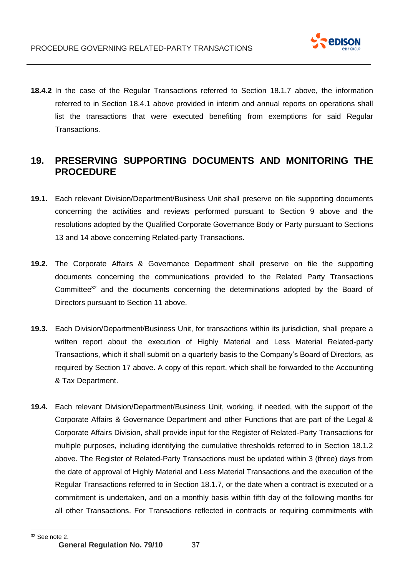

**18.4.2** In the case of the Regular Transactions referred to Section 18.1.7 above, the information referred to in Section 18.4.1 above provided in interim and annual reports on operations shall list the transactions that were executed benefiting from exemptions for said Regular Transactions.

# <span id="page-36-0"></span>**19. PRESERVING SUPPORTING DOCUMENTS AND MONITORING THE PROCEDURE**

- **19.1.** Each relevant Division/Department/Business Unit shall preserve on file supporting documents concerning the activities and reviews performed pursuant to Section 9 above and the resolutions adopted by the Qualified Corporate Governance Body or Party pursuant to Sections 13 and 14 above concerning Related-party Transactions.
- **19.2.** The Corporate Affairs & Governance Department shall preserve on file the supporting documents concerning the communications provided to the Related Party Transactions Committee<sup>32</sup> and the documents concerning the determinations adopted by the Board of Directors pursuant to Section 11 above.
- **19.3.** Each Division/Department/Business Unit, for transactions within its jurisdiction, shall prepare a written report about the execution of Highly Material and Less Material Related-party Transactions, which it shall submit on a quarterly basis to the Company's Board of Directors, as required by Section 17 above. A copy of this report, which shall be forwarded to the Accounting & Tax Department.
- **19.4.** Each relevant Division/Department/Business Unit, working, if needed, with the support of the Corporate Affairs & Governance Department and other Functions that are part of the Legal & Corporate Affairs Division, shall provide input for the Register of Related-Party Transactions for multiple purposes, including identifying the cumulative thresholds referred to in Section 18.1.2 above. The Register of Related-Party Transactions must be updated within 3 (three) days from the date of approval of Highly Material and Less Material Transactions and the execution of the Regular Transactions referred to in Section 18.1.7, or the date when a contract is executed or a commitment is undertaken, and on a monthly basis within fifth day of the following months for all other Transactions. For Transactions reflected in contracts or requiring commitments with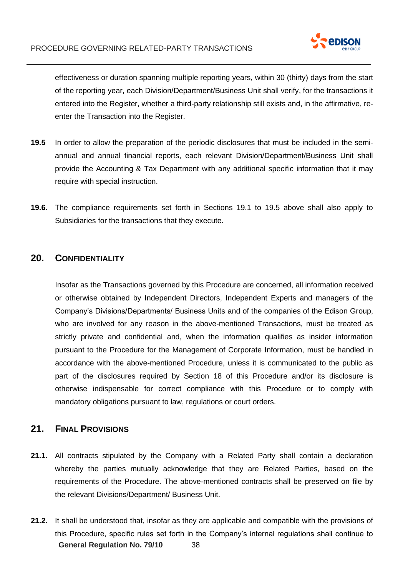

effectiveness or duration spanning multiple reporting years, within 30 (thirty) days from the start of the reporting year, each Division/Department/Business Unit shall verify, for the transactions it entered into the Register, whether a third-party relationship still exists and, in the affirmative, reenter the Transaction into the Register.

- **19.5** In order to allow the preparation of the periodic disclosures that must be included in the semiannual and annual financial reports, each relevant Division/Department/Business Unit shall provide the Accounting & Tax Department with any additional specific information that it may require with special instruction.
- **19.6.** The compliance requirements set forth in Sections 19.1 to 19.5 above shall also apply to Subsidiaries for the transactions that they execute.

### <span id="page-37-0"></span>**20. CONFIDENTIALITY**

Insofar as the Transactions governed by this Procedure are concerned, all information received or otherwise obtained by Independent Directors, Independent Experts and managers of the Company's Divisions/Departments/ Business Units and of the companies of the Edison Group, who are involved for any reason in the above-mentioned Transactions, must be treated as strictly private and confidential and, when the information qualifies as insider information pursuant to the Procedure for the Management of Corporate Information, must be handled in accordance with the above-mentioned Procedure, unless it is communicated to the public as part of the disclosures required by Section 18 of this Procedure and/or its disclosure is otherwise indispensable for correct compliance with this Procedure or to comply with mandatory obligations pursuant to law, regulations or court orders.

## <span id="page-37-1"></span>**21. FINAL PROVISIONS**

- **21.1.** All contracts stipulated by the Company with a Related Party shall contain a declaration whereby the parties mutually acknowledge that they are Related Parties, based on the requirements of the Procedure. The above-mentioned contracts shall be preserved on file by the relevant Divisions/Department/ Business Unit.
- **General Regulation No. 79/10** 38 **21.2.** It shall be understood that, insofar as they are applicable and compatible with the provisions of this Procedure, specific rules set forth in the Company's internal regulations shall continue to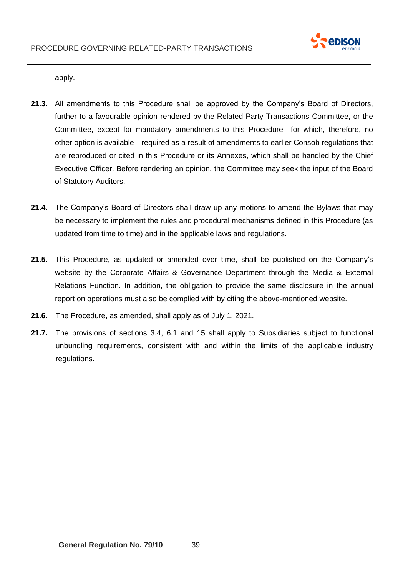

apply.

- **21.3.** All amendments to this Procedure shall be approved by the Company's Board of Directors, further to a favourable opinion rendered by the Related Party Transactions Committee, or the Committee, except for mandatory amendments to this Procedure—for which, therefore, no other option is available—required as a result of amendments to earlier Consob regulations that are reproduced or cited in this Procedure or its Annexes, which shall be handled by the Chief Executive Officer. Before rendering an opinion, the Committee may seek the input of the Board of Statutory Auditors.
- **21.4.** The Company's Board of Directors shall draw up any motions to amend the Bylaws that may be necessary to implement the rules and procedural mechanisms defined in this Procedure (as updated from time to time) and in the applicable laws and regulations.
- **21.5.** This Procedure, as updated or amended over time, shall be published on the Company's website by the Corporate Affairs & Governance Department through the Media & External Relations Function. In addition, the obligation to provide the same disclosure in the annual report on operations must also be complied with by citing the above-mentioned website.
- **21.6.** The Procedure, as amended, shall apply as of July 1, 2021.
- **21.7.** The provisions of sections 3.4, 6.1 and 15 shall apply to Subsidiaries subject to functional unbundling requirements, consistent with and within the limits of the applicable industry regulations.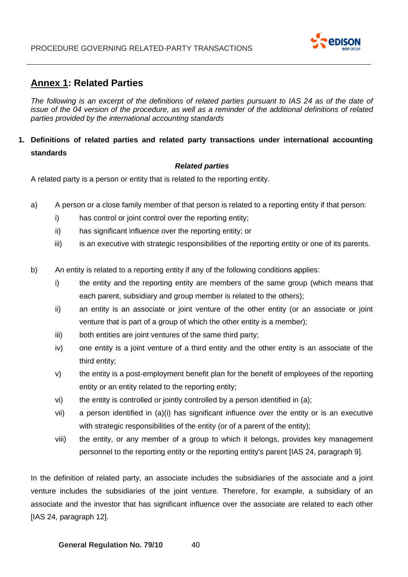

# <span id="page-39-0"></span>**Annex 1: Related Parties**

*The following is an excerpt of the definitions of related parties pursuant to IAS 24 as of the date of issue of the 04 version of the procedure, as well as a reminder of the additional definitions of related parties provided by the international accounting standards*

# **1. Definitions of related parties and related party transactions under international accounting standards**

#### *Related parties*

A related party is a person or entity that is related to the reporting entity.

- a) A person or a close family member of that person is related to a reporting entity if that person:
	- i) has control or joint control over the reporting entity;
	- ii) has significant influence over the reporting entity; or
	- iii) is an executive with strategic responsibilities of the reporting entity or one of its parents.
- b) An entity is related to a reporting entity if any of the following conditions applies:
	- i) the entity and the reporting entity are members of the same group (which means that each parent, subsidiary and group member is related to the others);
	- ii) an entity is an associate or joint venture of the other entity (or an associate or joint venture that is part of a group of which the other entity is a member);
	- iii) both entities are joint ventures of the same third party;
	- iv) one entity is a joint venture of a third entity and the other entity is an associate of the third entity;
	- v) the entity is a post-employment benefit plan for the benefit of employees of the reporting entity or an entity related to the reporting entity;
	- vi) the entity is controlled or jointly controlled by a person identified in (a);
	- vii) a person identified in (a)(i) has significant influence over the entity or is an executive with strategic responsibilities of the entity (or of a parent of the entity);
	- viii) the entity, or any member of a group to which it belongs, provides key management personnel to the reporting entity or the reporting entity's parent [IAS 24, paragraph 9].

In the definition of related party, an associate includes the subsidiaries of the associate and a joint venture includes the subsidiaries of the joint venture. Therefore, for example, a subsidiary of an associate and the investor that has significant influence over the associate are related to each other [IAS 24, paragraph 12].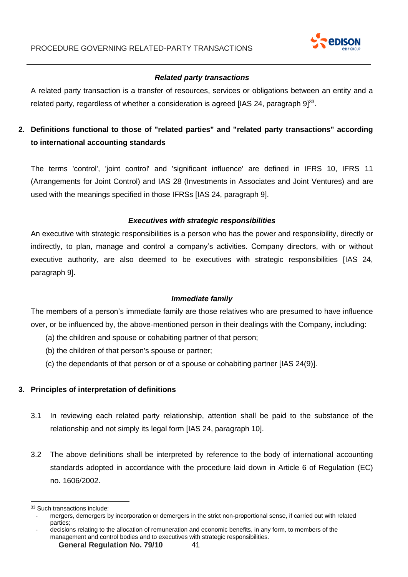

### *Related party transactions*

A related party transaction is a transfer of resources, services or obligations between an entity and a related party, regardless of whether a consideration is agreed [IAS 24, paragraph  $9]^{33}$ .

# **2. Definitions functional to those of "related parties" and "related party transactions" according to international accounting standards**

The terms 'control', 'joint control' and 'significant influence' are defined in IFRS 10, IFRS 11 (Arrangements for Joint Control) and IAS 28 (Investments in Associates and Joint Ventures) and are used with the meanings specified in those IFRSs [IAS 24, paragraph 9].

#### *Executives with strategic responsibilities*

An executive with strategic responsibilities is a person who has the power and responsibility, directly or indirectly, to plan, manage and control a company's activities. Company directors, with or without executive authority, are also deemed to be executives with strategic responsibilities [IAS 24, paragraph 9].

#### *Immediate family*

The members of a person's immediate family are those relatives who are presumed to have influence over, or be influenced by, the above-mentioned person in their dealings with the Company, including:

- (a) the children and spouse or cohabiting partner of that person;
- (b) the children of that person's spouse or partner;
- (c) the dependants of that person or of a spouse or cohabiting partner [IAS 24(9)].

### **3. Principles of interpretation of definitions**

- 3.1 In reviewing each related party relationship, attention shall be paid to the substance of the relationship and not simply its legal form [IAS 24, paragraph 10].
- 3.2 The above definitions shall be interpreted by reference to the body of international accounting standards adopted in accordance with the procedure laid down in Article 6 of Regulation (EC) no. 1606/2002.

<sup>33</sup> Such transactions include:

<sup>-</sup> mergers, demergers by incorporation or demergers in the strict non-proportional sense, if carried out with related parties;

<sup>-</sup> decisions relating to the allocation of remuneration and economic benefits, in any form, to members of the management and control bodies and to executives with strategic responsibilities.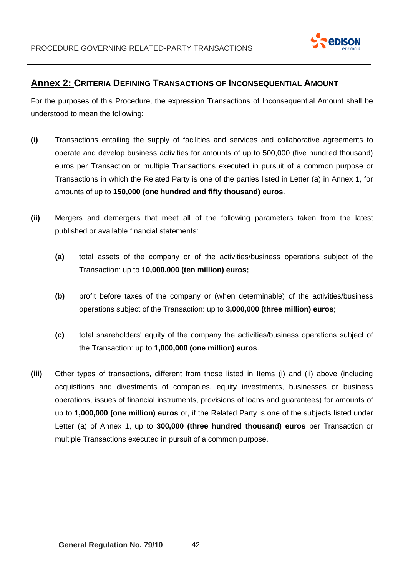

# <span id="page-41-0"></span>**Annex 2: CRITERIA DEFINING TRANSACTIONS OF INCONSEQUENTIAL AMOUNT**

For the purposes of this Procedure, the expression Transactions of Inconsequential Amount shall be understood to mean the following:

- **(i)** Transactions entailing the supply of facilities and services and collaborative agreements to operate and develop business activities for amounts of up to 500,000 (five hundred thousand) euros per Transaction or multiple Transactions executed in pursuit of a common purpose or Transactions in which the Related Party is one of the parties listed in Letter (a) in Annex 1, for amounts of up to **150,000 (one hundred and fifty thousand) euros**.
- **(ii)** Mergers and demergers that meet all of the following parameters taken from the latest published or available financial statements:
	- **(a)** total assets of the company or of the activities/business operations subject of the Transaction: up to **10,000,000 (ten million) euros;**
	- **(b)** profit before taxes of the company or (when determinable) of the activities/business operations subject of the Transaction: up to **3,000,000 (three million) euros**;
	- **(c)** total shareholders' equity of the company the activities/business operations subject of the Transaction: up to **1,000,000 (one million) euros**.
- **(iii)** Other types of transactions, different from those listed in Items (i) and (ii) above (including acquisitions and divestments of companies, equity investments, businesses or business operations, issues of financial instruments, provisions of loans and guarantees) for amounts of up to **1,000,000 (one million) euros** or, if the Related Party is one of the subjects listed under Letter (a) of Annex 1, up to **300,000 (three hundred thousand) euros** per Transaction or multiple Transactions executed in pursuit of a common purpose.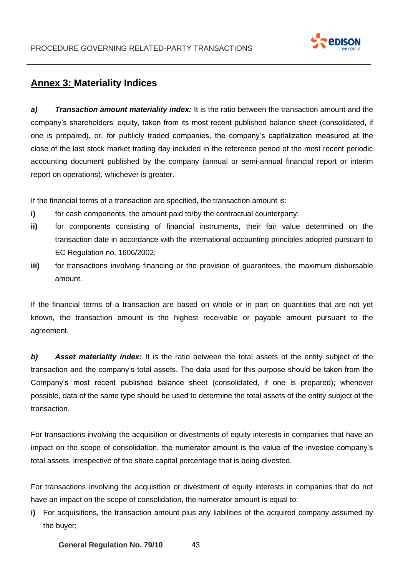

# <span id="page-42-0"></span>**Annex 3: Materiality Indices**

*a) Transaction amount materiality index:* It is the ratio between the transaction amount and the company's shareholders' equity, taken from its most recent published balance sheet (consolidated, if one is prepared), or, for publicly traded companies, the company's capitalization measured at the close of the last stock market trading day included in the reference period of the most recent periodic accounting document published by the company (annual or semi-annual financial report or interim report on operations), whichever is greater.

If the financial terms of a transaction are specified, the transaction amount is:

- **i)** for cash components, the amount paid to/by the contractual counterparty;
- **ii)** for components consisting of financial instruments, their fair value determined on the transaction date in accordance with the international accounting principles adopted pursuant to EC Regulation no. 1606/2002;
- **iii)** for transactions involving financing or the provision of guarantees, the maximum disbursable amount.

If the financial terms of a transaction are based on whole or in part on quantities that are not yet known, the transaction amount is the highest receivable or payable amount pursuant to the agreement.

*b) Asset materiality index:* It is the ratio between the total assets of the entity subject of the transaction and the company's total assets. The data used for this purpose should be taken from the Company's most recent published balance sheet (consolidated, if one is prepared); whenever possible, data of the same type should be used to determine the total assets of the entity subject of the transaction.

For transactions involving the acquisition or divestments of equity interests in companies that have an impact on the scope of consolidation, the numerator amount is the value of the investee company's total assets, irrespective of the share capital percentage that is being divested.

For transactions involving the acquisition or divestment of equity interests in companies that do not have an impact on the scope of consolidation, the numerator amount is equal to:

**i)** For acquisitions, the transaction amount plus any liabilities of the acquired company assumed by the buyer;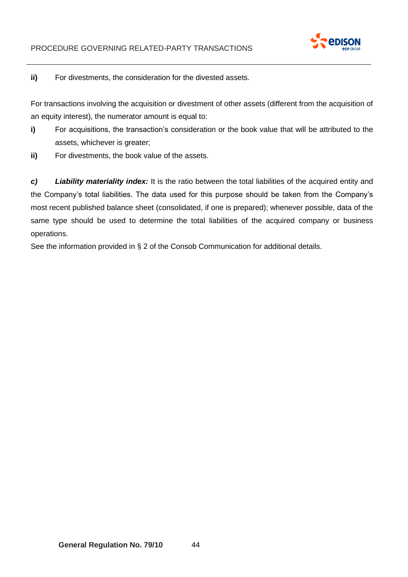

### **ii)** For divestments, the consideration for the divested assets.

For transactions involving the acquisition or divestment of other assets (different from the acquisition of an equity interest), the numerator amount is equal to:

- **i)** For acquisitions, the transaction's consideration or the book value that will be attributed to the assets, whichever is greater;
- **ii)** For divestments, the book value of the assets.

*c) Liability materiality index:* It is the ratio between the total liabilities of the acquired entity and the Company's total liabilities. The data used for this purpose should be taken from the Company's most recent published balance sheet (consolidated, if one is prepared); whenever possible, data of the same type should be used to determine the total liabilities of the acquired company or business operations.

See the information provided in § 2 of the Consob Communication for additional details.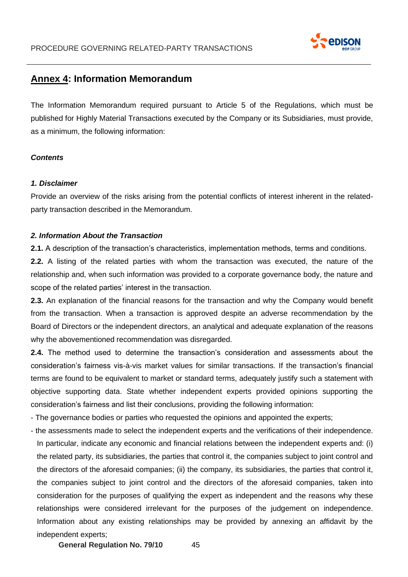

# <span id="page-44-0"></span>**Annex 4: Information Memorandum**

The Information Memorandum required pursuant to Article 5 of the Regulations, which must be published for Highly Material Transactions executed by the Company or its Subsidiaries, must provide, as a minimum, the following information:

#### *Contents*

#### *1. Disclaimer*

Provide an overview of the risks arising from the potential conflicts of interest inherent in the relatedparty transaction described in the Memorandum.

#### *2. Information About the Transaction*

**2.1.** A description of the transaction's characteristics, implementation methods, terms and conditions.

**2.2.** A listing of the related parties with whom the transaction was executed, the nature of the relationship and, when such information was provided to a corporate governance body, the nature and scope of the related parties' interest in the transaction.

**2.3.** An explanation of the financial reasons for the transaction and why the Company would benefit from the transaction. When a transaction is approved despite an adverse recommendation by the Board of Directors or the independent directors, an analytical and adequate explanation of the reasons why the abovementioned recommendation was disregarded.

**2.4.** The method used to determine the transaction's consideration and assessments about the consideration's fairness vis-à-vis market values for similar transactions. If the transaction's financial terms are found to be equivalent to market or standard terms, adequately justify such a statement with objective supporting data. State whether independent experts provided opinions supporting the consideration's fairness and list their conclusions, providing the following information:

- The governance bodies or parties who requested the opinions and appointed the experts;

- the assessments made to select the independent experts and the verifications of their independence. In particular, indicate any economic and financial relations between the independent experts and: (i) the related party, its subsidiaries, the parties that control it, the companies subject to joint control and the directors of the aforesaid companies; (ii) the company, its subsidiaries, the parties that control it, the companies subject to joint control and the directors of the aforesaid companies, taken into consideration for the purposes of qualifying the expert as independent and the reasons why these relationships were considered irrelevant for the purposes of the judgement on independence. Information about any existing relationships may be provided by annexing an affidavit by the independent experts;

**General Regulation No. 79/10** 45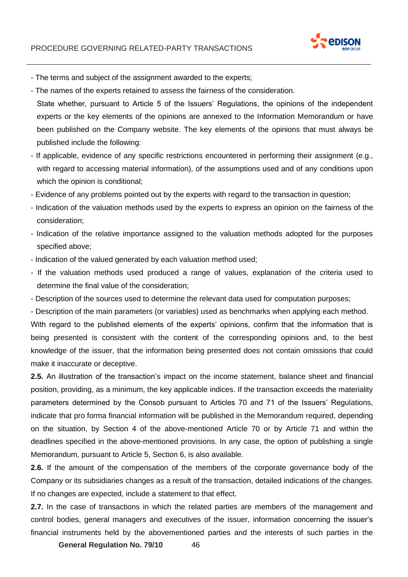

- The terms and subject of the assignment awarded to the experts;
- The names of the experts retained to assess the fairness of the consideration.
- State whether, pursuant to Article 5 of the Issuers' Regulations, the opinions of the independent experts or the key elements of the opinions are annexed to the Information Memorandum or have been published on the Company website. The key elements of the opinions that must always be published include the following:
- If applicable, evidence of any specific restrictions encountered in performing their assignment (e.g., with regard to accessing material information), of the assumptions used and of any conditions upon which the opinion is conditional;
- Evidence of any problems pointed out by the experts with regard to the transaction in question;
- Indication of the valuation methods used by the experts to express an opinion on the fairness of the consideration;
- Indication of the relative importance assigned to the valuation methods adopted for the purposes specified above;
- Indication of the valued generated by each valuation method used;
- If the valuation methods used produced a range of values, explanation of the criteria used to determine the final value of the consideration;
- Description of the sources used to determine the relevant data used for computation purposes;

- Description of the main parameters (or variables) used as benchmarks when applying each method.

With regard to the published elements of the experts' opinions, confirm that the information that is being presented is consistent with the content of the corresponding opinions and, to the best knowledge of the issuer, that the information being presented does not contain omissions that could make it inaccurate or deceptive.

**2.5.** An illustration of the transaction's impact on the income statement, balance sheet and financial position, providing, as a minimum, the key applicable indices. If the transaction exceeds the materiality parameters determined by the Consob pursuant to Articles 70 and 71 of the Issuers' Regulations, indicate that pro forma financial information will be published in the Memorandum required, depending on the situation, by Section 4 of the above-mentioned Article 70 or by Article 71 and within the deadlines specified in the above-mentioned provisions. In any case, the option of publishing a single Memorandum, pursuant to Article 5, Section 6, is also available.

**2.6.** If the amount of the compensation of the members of the corporate governance body of the Company or its subsidiaries changes as a result of the transaction, detailed indications of the changes. If no changes are expected, include a statement to that effect.

**2.7.** In the case of transactions in which the related parties are members of the management and control bodies, general managers and executives of the issuer, information concerning the issuer's financial instruments held by the abovementioned parties and the interests of such parties in the

**General Regulation No. 79/10** 46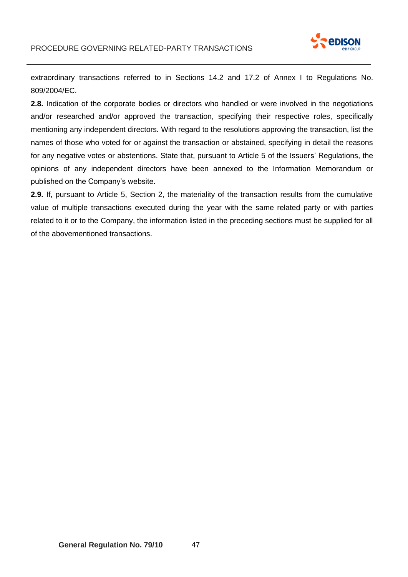

extraordinary transactions referred to in Sections 14.2 and 17.2 of Annex I to Regulations No. 809/2004/EC.

**2.8.** Indication of the corporate bodies or directors who handled or were involved in the negotiations and/or researched and/or approved the transaction, specifying their respective roles, specifically mentioning any independent directors. With regard to the resolutions approving the transaction, list the names of those who voted for or against the transaction or abstained, specifying in detail the reasons for any negative votes or abstentions. State that, pursuant to Article 5 of the Issuers' Regulations, the opinions of any independent directors have been annexed to the Information Memorandum or published on the Company's website.

**2.9.** If, pursuant to Article 5, Section 2, the materiality of the transaction results from the cumulative value of multiple transactions executed during the year with the same related party or with parties related to it or to the Company, the information listed in the preceding sections must be supplied for all of the abovementioned transactions.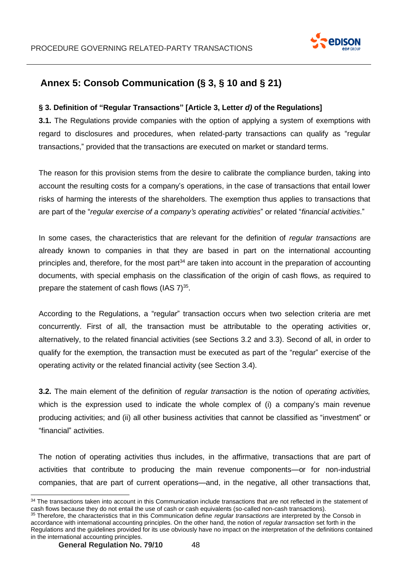

# <span id="page-47-0"></span>**Annex 5: Consob Communication (§ 3, § 10 and § 21)**

#### **§ 3. Definition of "Regular Transactions" [Article 3, Letter** *d)* **of the Regulations]**

**3.1.** The Regulations provide companies with the option of applying a system of exemptions with regard to disclosures and procedures, when related-party transactions can qualify as "regular transactions," provided that the transactions are executed on market or standard terms.

The reason for this provision stems from the desire to calibrate the compliance burden, taking into account the resulting costs for a company's operations, in the case of transactions that entail lower risks of harming the interests of the shareholders. The exemption thus applies to transactions that are part of the "*regular exercise of a company's operating activities*" or related "*financial activities*."

In some cases, the characteristics that are relevant for the definition of *regular transactions* are already known to companies in that they are based in part on the international accounting principles and, therefore, for the most part<sup>34</sup> are taken into account in the preparation of accounting documents, with special emphasis on the classification of the origin of cash flows, as required to prepare the statement of cash flows (IAS 7)<sup>35</sup>.

According to the Regulations, a "regular" transaction occurs when two selection criteria are met concurrently. First of all, the transaction must be attributable to the operating activities or, alternatively, to the related financial activities (see Sections 3.2 and 3.3). Second of all, in order to qualify for the exemption, the transaction must be executed as part of the "regular" exercise of the operating activity or the related financial activity (see Section 3.4).

**3.2.** The main element of the definition of *regular transaction* is the notion of *operating activities,*  which is the expression used to indicate the whole complex of (i) a company's main revenue producing activities; and (ii) all other business activities that cannot be classified as "investment" or "financial" activities.

The notion of operating activities thus includes, in the affirmative, transactions that are part of activities that contribute to producing the main revenue components—or for non-industrial companies, that are part of current operations—and, in the negative, all other transactions that,

<sup>34</sup> The transactions taken into account in this Communication include transactions that are not reflected in the statement of cash flows because they do not entail the use of cash or cash equivalents (so-called non-cash transactions).

<sup>35</sup> Therefore, the characteristics that in this Communication define *regular transactions* are interpreted by the Consob in accordance with international accounting principles. On the other hand, the notion of *regular transaction* set forth in the Regulations and the guidelines provided for its use obviously have no impact on the interpretation of the definitions contained in the international accounting principles.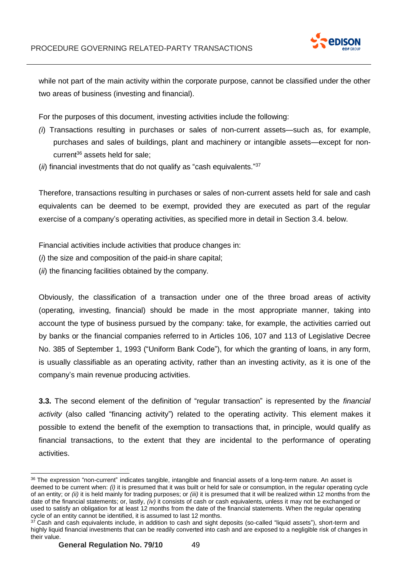

while not part of the main activity within the corporate purpose, cannot be classified under the other two areas of business (investing and financial).

For the purposes of this document, investing activities include the following:

- *(i*) Transactions resulting in purchases or sales of non-current assets—such as, for example, purchases and sales of buildings, plant and machinery or intangible assets—except for noncurrent <sup>36</sup> assets held for sale;
- (*ii*) financial investments that do not qualify as "cash equivalents." 37

Therefore, transactions resulting in purchases or sales of non-current assets held for sale and cash equivalents can be deemed to be exempt, provided they are executed as part of the regular exercise of a company's operating activities, as specified more in detail in Section 3.4. below.

Financial activities include activities that produce changes in:

- (*i*) the size and composition of the paid-in share capital;
- (*ii*) the financing facilities obtained by the company.

Obviously, the classification of a transaction under one of the three broad areas of activity (operating, investing, financial) should be made in the most appropriate manner, taking into account the type of business pursued by the company: take, for example, the activities carried out by banks or the financial companies referred to in Articles 106, 107 and 113 of Legislative Decree No. 385 of September 1, 1993 ("Uniform Bank Code"), for which the granting of loans, in any form, is usually classifiable as an operating activity, rather than an investing activity, as it is one of the company's main revenue producing activities.

**3.3.** The second element of the definition of "regular transaction" is represented by the *financial activity* (also called "financing activity") related to the operating activity. This element makes it possible to extend the benefit of the exemption to transactions that, in principle, would qualify as financial transactions, to the extent that they are incidental to the performance of operating activities.

<sup>36</sup> The expression "non-current" indicates tangible, intangible and financial assets of a long-term nature. An asset is deemed to be current when: *(i)* it is presumed that it was built or held for sale or consumption, in the regular operating cycle of an entity; or *(ii)* it is held mainly for trading purposes; or *(iii)* it is presumed that it will be realized within 12 months from the date of the financial statements; or, lastly, *(iv)* it consists of cash or cash equivalents, unless it may not be exchanged or used to satisfy an obligation for at least 12 months from the date of the financial statements. When the regular operating cycle of an entity cannot be identified, it is assumed to last 12 months.

 $37$  Cash and cash equivalents include, in addition to cash and sight deposits (so-called "liquid assets"), short-term and highly liquid financial investments that can be readily converted into cash and are exposed to a negligible risk of changes in their value.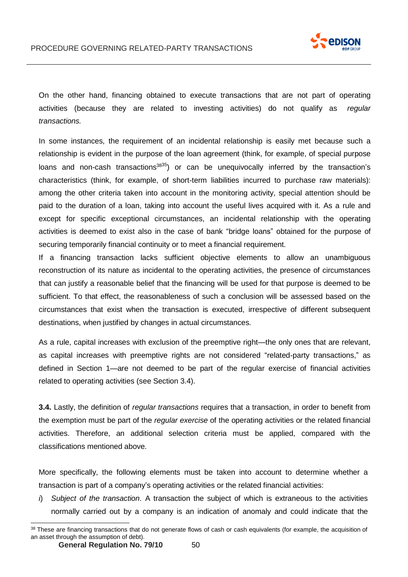

On the other hand, financing obtained to execute transactions that are not part of operating activities (because they are related to investing activities) do not qualify as *regular transactions.*

In some instances, the requirement of an incidental relationship is easily met because such a relationship is evident in the purpose of the loan agreement (think, for example, of special purpose loans and non-cash transactions<sup>3835</sup>) or can be unequivocally inferred by the transaction's characteristics (think, for example, of short-term liabilities incurred to purchase raw materials): among the other criteria taken into account in the monitoring activity, special attention should be paid to the duration of a loan, taking into account the useful lives acquired with it. As a rule and except for specific exceptional circumstances, an incidental relationship with the operating activities is deemed to exist also in the case of bank "bridge loans" obtained for the purpose of securing temporarily financial continuity or to meet a financial requirement.

If a financing transaction lacks sufficient objective elements to allow an unambiguous reconstruction of its nature as incidental to the operating activities, the presence of circumstances that can justify a reasonable belief that the financing will be used for that purpose is deemed to be sufficient. To that effect, the reasonableness of such a conclusion will be assessed based on the circumstances that exist when the transaction is executed, irrespective of different subsequent destinations, when justified by changes in actual circumstances.

As a rule, capital increases with exclusion of the preemptive right—the only ones that are relevant, as capital increases with preemptive rights are not considered "related-party transactions," as defined in Section 1—are not deemed to be part of the regular exercise of financial activities related to operating activities (see Section 3.4).

**3.4.** Lastly, the definition of *regular transactions* requires that a transaction, in order to benefit from the exemption must be part of the *regular exercise* of the operating activities or the related financial activities. Therefore, an additional selection criteria must be applied, compared with the classifications mentioned above.

More specifically, the following elements must be taken into account to determine whether a transaction is part of a company's operating activities or the related financial activities:

*i*) *Subject of the transaction*. A transaction the subject of which is extraneous to the activities normally carried out by a company is an indication of anomaly and could indicate that the

<sup>&</sup>lt;sup>38</sup> These are financing transactions that do not generate flows of cash or cash equivalents (for example, the acquisition of an asset through the assumption of debt).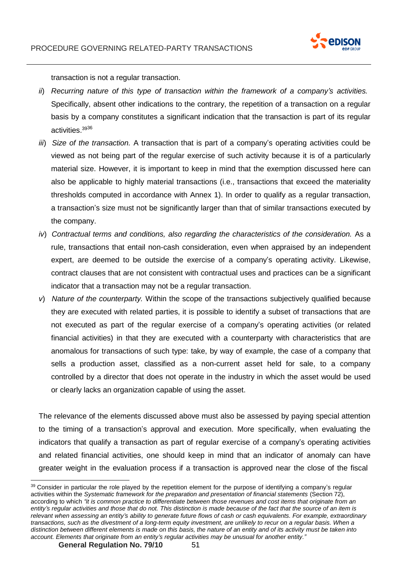

transaction is not a regular transaction.

- *ii*) *Recurring nature of this type of transaction within the framework of a company's activities.* Specifically, absent other indications to the contrary, the repetition of a transaction on a regular basis by a company constitutes a significant indication that the transaction is part of its regular activities. 3936
- *iii*) *Size of the transaction.* A transaction that is part of a company's operating activities could be viewed as not being part of the regular exercise of such activity because it is of a particularly material size. However, it is important to keep in mind that the exemption discussed here can also be applicable to highly material transactions (i.e., transactions that exceed the materiality thresholds computed in accordance with Annex 1). In order to qualify as a regular transaction, a transaction's size must not be significantly larger than that of similar transactions executed by the company.
- *iv*) *Contractual terms and conditions, also regarding the characteristics of the consideration.* As a rule, transactions that entail non-cash consideration, even when appraised by an independent expert, are deemed to be outside the exercise of a company's operating activity. Likewise, contract clauses that are not consistent with contractual uses and practices can be a significant indicator that a transaction may not be a regular transaction.
- *v*) *Nature of the counterparty.* Within the scope of the transactions subjectively qualified because they are executed with related parties, it is possible to identify a subset of transactions that are not executed as part of the regular exercise of a company's operating activities (or related financial activities) in that they are executed with a counterparty with characteristics that are anomalous for transactions of such type: take, by way of example, the case of a company that sells a production asset, classified as a non-current asset held for sale, to a company controlled by a director that does not operate in the industry in which the asset would be used or clearly lacks an organization capable of using the asset.

The relevance of the elements discussed above must also be assessed by paying special attention to the timing of a transaction's approval and execution. More specifically, when evaluating the indicators that qualify a transaction as part of regular exercise of a company's operating activities and related financial activities, one should keep in mind that an indicator of anomaly can have greater weight in the evaluation process if a transaction is approved near the close of the fiscal

<sup>&</sup>lt;sup>39</sup> Consider in particular the role played by the repetition element for the purpose of identifying a company's regular activities within the *Systematic framework for the preparation and presentation of financial statements* (Section 72), according to which "it is common practice to differentiate between those revenues and cost items that originate from an entity's regular activities and those that do not. This distinction is made because of the fact that the source of an item is relevant when assessing an entity's ability to generate future flows of cash or cash equivalents. For example, extraordinary transactions, such as the divestment of a long-term equity investment, are unlikely to recur on a regular basis. When a *distinction between different elements is made on this basis, the nature of an entity and of its activity must be taken into account. Elements that originate from an entity's regular activities may be unusual for another entity."*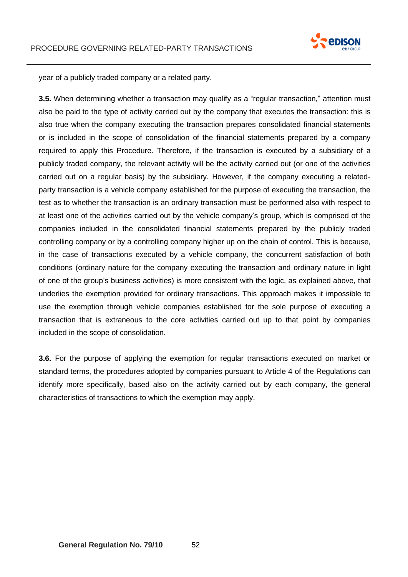

year of a publicly traded company or a related party.

**3.5.** When determining whether a transaction may qualify as a "regular transaction," attention must also be paid to the type of activity carried out by the company that executes the transaction: this is also true when the company executing the transaction prepares consolidated financial statements or is included in the scope of consolidation of the financial statements prepared by a company required to apply this Procedure. Therefore, if the transaction is executed by a subsidiary of a publicly traded company, the relevant activity will be the activity carried out (or one of the activities carried out on a regular basis) by the subsidiary. However, if the company executing a relatedparty transaction is a vehicle company established for the purpose of executing the transaction, the test as to whether the transaction is an ordinary transaction must be performed also with respect to at least one of the activities carried out by the vehicle company's group, which is comprised of the companies included in the consolidated financial statements prepared by the publicly traded controlling company or by a controlling company higher up on the chain of control. This is because, in the case of transactions executed by a vehicle company, the concurrent satisfaction of both conditions (ordinary nature for the company executing the transaction and ordinary nature in light of one of the group's business activities) is more consistent with the logic, as explained above, that underlies the exemption provided for ordinary transactions. This approach makes it impossible to use the exemption through vehicle companies established for the sole purpose of executing a transaction that is extraneous to the core activities carried out up to that point by companies included in the scope of consolidation.

**3.6.** For the purpose of applying the exemption for regular transactions executed on market or standard terms, the procedures adopted by companies pursuant to Article 4 of the Regulations can identify more specifically, based also on the activity carried out by each company, the general characteristics of transactions to which the exemption may apply.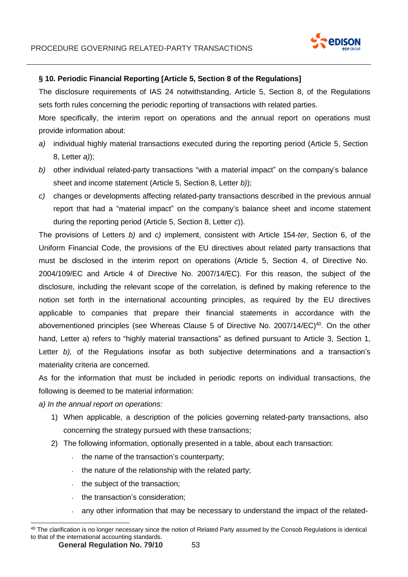

### **§ 10. Periodic Financial Reporting [Article 5, Section 8 of the Regulations]**

The disclosure requirements of IAS 24 notwithstanding, Article 5, Section 8, of the Regulations sets forth rules concerning the periodic reporting of transactions with related parties.

More specifically, the interim report on operations and the annual report on operations must provide information about:

- *a)* individual highly material transactions executed during the reporting period (Article 5, Section 8, Letter *a)*);
- *b)* other individual related-party transactions "with a material impact" on the company's balance sheet and income statement (Article 5, Section 8, Letter *b)*);
- *c)* changes or developments affecting related-party transactions described in the previous annual report that had a "material impact" on the company's balance sheet and income statement during the reporting period (Article 5, Section 8, Letter *c*)).

The provisions of Letters *b)* and *c)* implement, consistent with Article 154-*ter*, Section 6, of the Uniform Financial Code, the provisions of the EU directives about related party transactions that must be disclosed in the interim report on operations (Article 5, Section 4, of Directive No. 2004/109/EC and Article 4 of Directive No. 2007/14/EC). For this reason, the subject of the disclosure, including the relevant scope of the correlation, is defined by making reference to the notion set forth in the international accounting principles, as required by the EU directives applicable to companies that prepare their financial statements in accordance with the abovementioned principles (see Whereas Clause 5 of Directive No. 2007/14/EC)<sup>40</sup>. On the other hand, Letter a) refers to "highly material transactions" as defined pursuant to Article 3, Section 1, Letter *b*), of the Regulations insofar as both subjective determinations and a transaction's materiality criteria are concerned.

As for the information that must be included in periodic reports on individual transactions, the following is deemed to be material information:

*a) In the annual report on operations:*

- 1) When applicable, a description of the policies governing related-party transactions, also concerning the strategy pursued with these transactions;
- 2) The following information, optionally presented in a table, about each transaction:
	- $\cdot$  the name of the transaction's counterparty;
	- $\cdot$  the nature of the relationship with the related party;
	- $\cdot$  the subject of the transaction;
	- $\cdot$  the transaction's consideration;
	- any other information that may be necessary to understand the impact of the related-

<sup>&</sup>lt;sup>40</sup> The clarification is no longer necessary since the notion of Related Party assumed by the Consob Regulations is identical to that of the international accounting standards.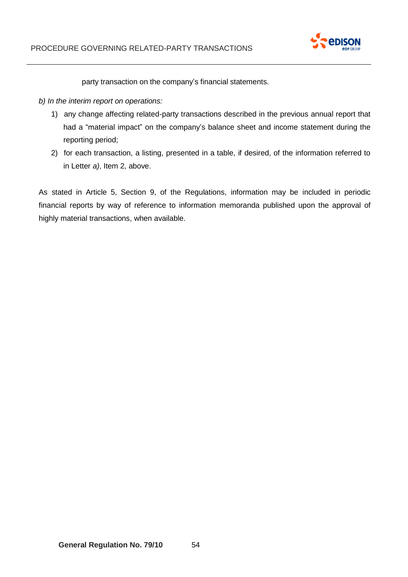

party transaction on the company's financial statements.

- *b) In the interim report on operations:*
	- 1) any change affecting related-party transactions described in the previous annual report that had a "material impact" on the company's balance sheet and income statement during the reporting period;
	- 2) for each transaction, a listing, presented in a table, if desired, of the information referred to in Letter *a)*, Item 2, above.

As stated in Article 5, Section 9, of the Regulations, information may be included in periodic financial reports by way of reference to information memoranda published upon the approval of highly material transactions, when available.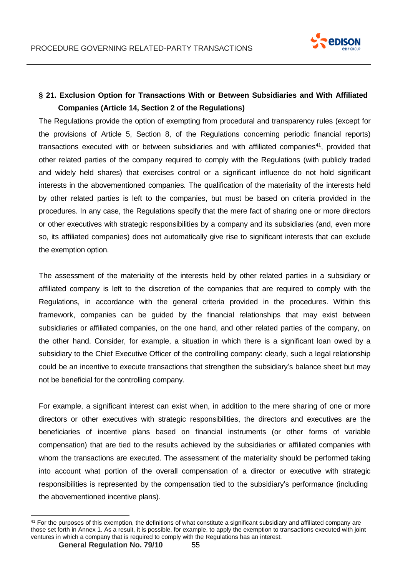

# **§ 21. Exclusion Option for Transactions With or Between Subsidiaries and With Affiliated Companies (Article 14, Section 2 of the Regulations)**

The Regulations provide the option of exempting from procedural and transparency rules (except for the provisions of Article 5, Section 8, of the Regulations concerning periodic financial reports) transactions executed with or between subsidiaries and with affiliated companies<sup>41</sup>, provided that other related parties of the company required to comply with the Regulations (with publicly traded and widely held shares) that exercises control or a significant influence do not hold significant interests in the abovementioned companies. The qualification of the materiality of the interests held by other related parties is left to the companies, but must be based on criteria provided in the procedures. In any case, the Regulations specify that the mere fact of sharing one or more directors or other executives with strategic responsibilities by a company and its subsidiaries (and, even more so, its affiliated companies) does not automatically give rise to significant interests that can exclude the exemption option.

The assessment of the materiality of the interests held by other related parties in a subsidiary or affiliated company is left to the discretion of the companies that are required to comply with the Regulations, in accordance with the general criteria provided in the procedures. Within this framework, companies can be guided by the financial relationships that may exist between subsidiaries or affiliated companies, on the one hand, and other related parties of the company, on the other hand. Consider, for example, a situation in which there is a significant loan owed by a subsidiary to the Chief Executive Officer of the controlling company: clearly, such a legal relationship could be an incentive to execute transactions that strengthen the subsidiary's balance sheet but may not be beneficial for the controlling company.

For example, a significant interest can exist when, in addition to the mere sharing of one or more directors or other executives with strategic responsibilities, the directors and executives are the beneficiaries of incentive plans based on financial instruments (or other forms of variable compensation) that are tied to the results achieved by the subsidiaries or affiliated companies with whom the transactions are executed. The assessment of the materiality should be performed taking into account what portion of the overall compensation of a director or executive with strategic responsibilities is represented by the compensation tied to the subsidiary's performance (including the abovementioned incentive plans).

<sup>&</sup>lt;sup>41</sup> For the purposes of this exemption, the definitions of what constitute a significant subsidiary and affiliated company are those set forth in Annex 1. As a result, it is possible, for example, to apply the exemption to transactions executed with joint ventures in which a company that is required to comply with the Regulations has an interest.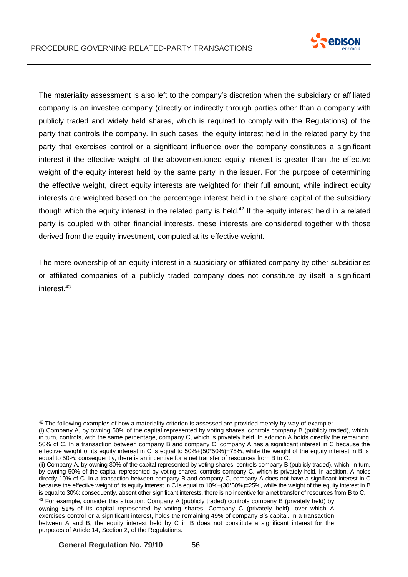

The materiality assessment is also left to the company's discretion when the subsidiary or affiliated company is an investee company (directly or indirectly through parties other than a company with publicly traded and widely held shares, which is required to comply with the Regulations) of the party that controls the company. In such cases, the equity interest held in the related party by the party that exercises control or a significant influence over the company constitutes a significant interest if the effective weight of the abovementioned equity interest is greater than the effective weight of the equity interest held by the same party in the issuer. For the purpose of determining the effective weight, direct equity interests are weighted for their full amount, while indirect equity interests are weighted based on the percentage interest held in the share capital of the subsidiary though which the equity interest in the related party is held.<sup>42</sup> If the equity interest held in a related party is coupled with other financial interests, these interests are considered together with those derived from the equity investment, computed at its effective weight.

The mere ownership of an equity interest in a subsidiary or affiliated company by other subsidiaries or affiliated companies of a publicly traded company does not constitute by itself a significant interest. 43

 $42$  The following examples of how a materiality criterion is assessed are provided merely by way of example:

<sup>(</sup>i) Company A, by owning 50% of the capital represented by voting shares, controls company B (publicly traded), which, in turn, controls, with the same percentage, company C, which is privately held. In addition A holds directly the remaining 50% of C. In a transaction between company B and company C, company A has a significant interest in C because the effective weight of its equity interest in C is equal to 50%+(50\*50%)=75%, while the weight of the equity interest in B is equal to 50%: consequently, there is an incentive for a net transfer of resources from B to C.

<sup>(</sup>ii) Company A, by owning 30% of the capital represented by voting shares, controls company B (publicly traded), which, in turn, by owning 50% of the capital represented by voting shares, controls company C, which is privately held. In addition, A holds directly 10% of C. In a transaction between company B and company C, company A does not have a significant interest in C because the effective weight of its equity interest in C is equal to 10%+(30\*50%)=25%, while the weight of the equity interest in B is equal to 30%: consequently, absent other significant interests, there is no incentive for a net transfer of resources from B to C.

<sup>&</sup>lt;sup>43</sup> For example, consider this situation: Company A (publicly traded) controls company B (privately held) by owning 51% of its capital represented by voting shares. Company C (privately held), over which A exercises control or a significant interest, holds the remaining 49% of company B's capital. In a transaction between A and B, the equity interest held by C in B does not constitute a significant interest for the purposes of Article 14, Section 2, of the Regulations.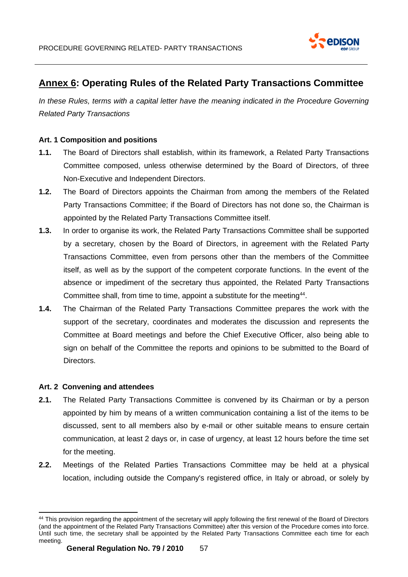

# <span id="page-56-0"></span>**Annex 6: Operating Rules of the Related Party Transactions Committee**

In these Rules, terms with a capital letter have the meaning indicated in the Procedure Governing *Related Party Transactions*

#### **Art. 1 Composition and positions**

- **1.1.** The Board of Directors shall establish, within its framework, a Related Party Transactions Committee composed, unless otherwise determined by the Board of Directors, of three Non-Executive and Independent Directors.
- **1.2.** The Board of Directors appoints the Chairman from among the members of the Related Party Transactions Committee; if the Board of Directors has not done so, the Chairman is appointed by the Related Party Transactions Committee itself.
- **1.3.** In order to organise its work, the Related Party Transactions Committee shall be supported by a secretary, chosen by the Board of Directors, in agreement with the Related Party Transactions Committee, even from persons other than the members of the Committee itself, as well as by the support of the competent corporate functions. In the event of the absence or impediment of the secretary thus appointed, the Related Party Transactions Committee shall, from time to time, appoint a substitute for the meeting<sup>44</sup>.
- **1.4.** The Chairman of the Related Party Transactions Committee prepares the work with the support of the secretary, coordinates and moderates the discussion and represents the Committee at Board meetings and before the Chief Executive Officer, also being able to sign on behalf of the Committee the reports and opinions to be submitted to the Board of Directors.

#### **Art. 2 Convening and attendees**

- **2.1.** The Related Party Transactions Committee is convened by its Chairman or by a person appointed by him by means of a written communication containing a list of the items to be discussed, sent to all members also by e-mail or other suitable means to ensure certain communication, at least 2 days or, in case of urgency, at least 12 hours before the time set for the meeting.
- **2.2.** Meetings of the Related Parties Transactions Committee may be held at a physical location, including outside the Company's registered office, in Italy or abroad, or solely by

<sup>44</sup> This provision regarding the appointment of the secretary will apply following the first renewal of the Board of Directors (and the appointment of the Related Party Transactions Committee) after this version of the Procedure comes into force. Until such time, the secretary shall be appointed by the Related Party Transactions Committee each time for each meeting.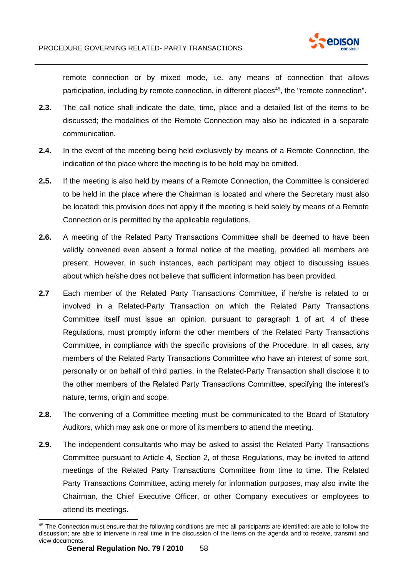

remote connection or by mixed mode, i.e. any means of connection that allows participation, including by remote connection, in different places<sup>45</sup>, the "remote connection".

- **2.3.** The call notice shall indicate the date, time, place and a detailed list of the items to be discussed; the modalities of the Remote Connection may also be indicated in a separate communication.
- **2.4.** In the event of the meeting being held exclusively by means of a Remote Connection, the indication of the place where the meeting is to be held may be omitted.
- **2.5.** If the meeting is also held by means of a Remote Connection, the Committee is considered to be held in the place where the Chairman is located and where the Secretary must also be located; this provision does not apply if the meeting is held solely by means of a Remote Connection or is permitted by the applicable regulations.
- **2.6.** A meeting of the Related Party Transactions Committee shall be deemed to have been validly convened even absent a formal notice of the meeting, provided all members are present. However, in such instances, each participant may object to discussing issues about which he/she does not believe that sufficient information has been provided.
- **2.7** Each member of the Related Party Transactions Committee, if he/she is related to or involved in a Related-Party Transaction on which the Related Party Transactions Committee itself must issue an opinion, pursuant to paragraph 1 of art. 4 of these Regulations, must promptly inform the other members of the Related Party Transactions Committee, in compliance with the specific provisions of the Procedure. In all cases, any members of the Related Party Transactions Committee who have an interest of some sort, personally or on behalf of third parties, in the Related-Party Transaction shall disclose it to the other members of the Related Party Transactions Committee, specifying the interest's nature, terms, origin and scope.
- **2.8.** The convening of a Committee meeting must be communicated to the Board of Statutory Auditors, which may ask one or more of its members to attend the meeting.
- **2.9.** The independent consultants who may be asked to assist the Related Party Transactions Committee pursuant to Article 4, Section 2, of these Regulations, may be invited to attend meetings of the Related Party Transactions Committee from time to time. The Related Party Transactions Committee, acting merely for information purposes, may also invite the Chairman, the Chief Executive Officer, or other Company executives or employees to attend its meetings.

<sup>45</sup> The Connection must ensure that the following conditions are met: all participants are identified; are able to follow the discussion; are able to intervene in real time in the discussion of the items on the agenda and to receive, transmit and view documents.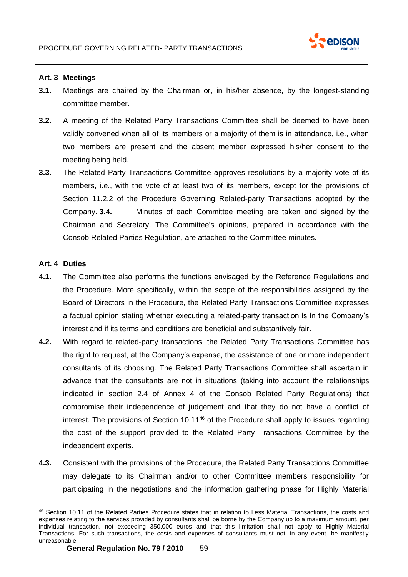

#### **Art. 3 Meetings**

- **3.1.** Meetings are chaired by the Chairman or, in his/her absence, by the longest-standing committee member.
- **3.2.** A meeting of the Related Party Transactions Committee shall be deemed to have been validly convened when all of its members or a majority of them is in attendance, i.e., when two members are present and the absent member expressed his/her consent to the meeting being held.
- **3.3.** The Related Party Transactions Committee approves resolutions by a majority vote of its members, i.e., with the vote of at least two of its members, except for the provisions of Section 11.2.2 of the Procedure Governing Related-party Transactions adopted by the Company. **3.4.** Minutes of each Committee meeting are taken and signed by the Chairman and Secretary. The Committee's opinions, prepared in accordance with the Consob Related Parties Regulation, are attached to the Committee minutes.

#### **Art. 4 Duties**

- **4.1.** The Committee also performs the functions envisaged by the Reference Regulations and the Procedure. More specifically, within the scope of the responsibilities assigned by the Board of Directors in the Procedure, the Related Party Transactions Committee expresses a factual opinion stating whether executing a related-party transaction is in the Company's interest and if its terms and conditions are beneficial and substantively fair.
- **4.2.** With regard to related-party transactions, the Related Party Transactions Committee has the right to request, at the Company's expense, the assistance of one or more independent consultants of its choosing. The Related Party Transactions Committee shall ascertain in advance that the consultants are not in situations (taking into account the relationships indicated in section 2.4 of Annex 4 of the Consob Related Party Regulations) that compromise their independence of judgement and that they do not have a conflict of interest. The provisions of Section 10.11<sup>46</sup> of the Procedure shall apply to issues regarding the cost of the support provided to the Related Party Transactions Committee by the independent experts.
- **4.3.** Consistent with the provisions of the Procedure, the Related Party Transactions Committee may delegate to its Chairman and/or to other Committee members responsibility for participating in the negotiations and the information gathering phase for Highly Material

<sup>46</sup> Section 10.11 of the Related Parties Procedure states that in relation to Less Material Transactions, the costs and expenses relating to the services provided by consultants shall be borne by the Company up to a maximum amount, per individual transaction, not exceeding 350,000 euros and that this limitation shall not apply to Highly Material Transactions. For such transactions, the costs and expenses of consultants must not, in any event, be manifestly unreasonable.